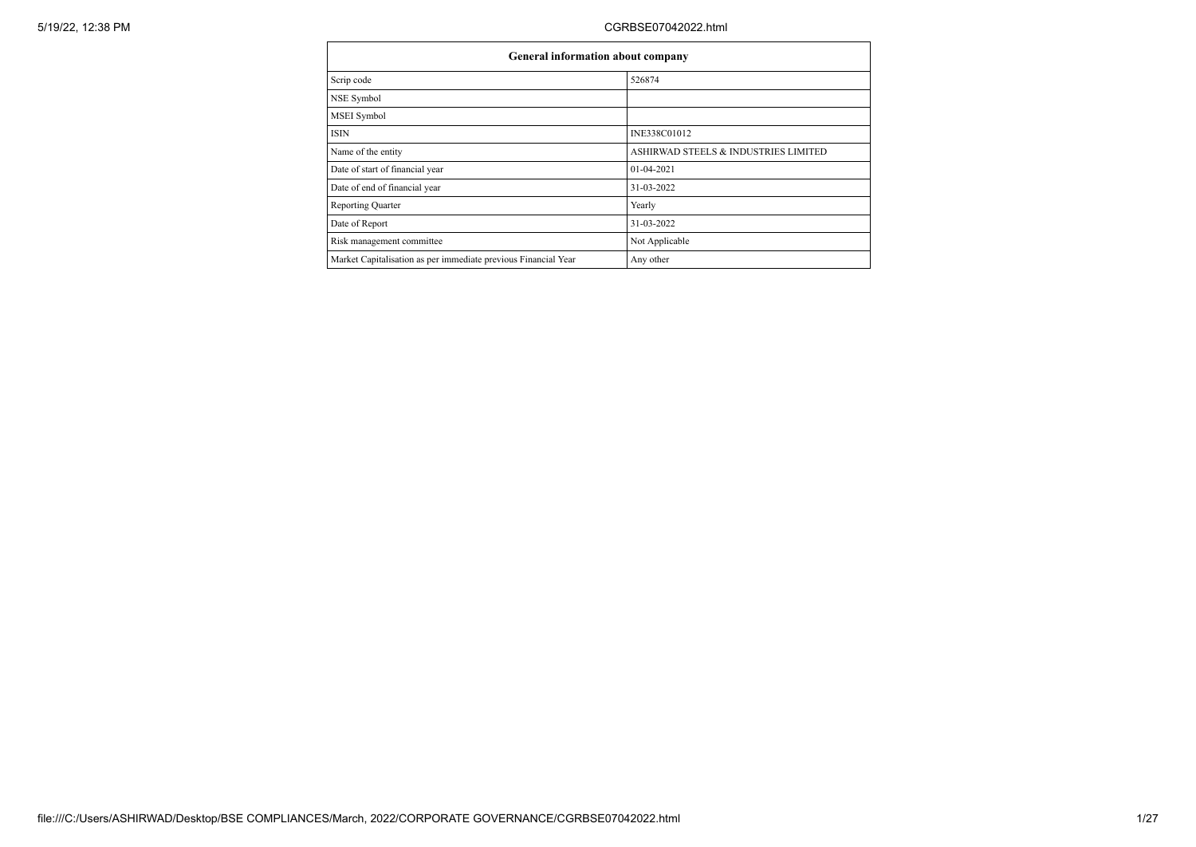| General information about company                              |                                      |  |  |  |  |  |  |
|----------------------------------------------------------------|--------------------------------------|--|--|--|--|--|--|
| Scrip code                                                     | 526874                               |  |  |  |  |  |  |
| NSE Symbol                                                     |                                      |  |  |  |  |  |  |
| MSEI Symbol                                                    |                                      |  |  |  |  |  |  |
| <b>ISIN</b>                                                    | INE338C01012                         |  |  |  |  |  |  |
| Name of the entity                                             | ASHIRWAD STEELS & INDUSTRIES LIMITED |  |  |  |  |  |  |
| Date of start of financial year                                | $01 - 04 - 2021$                     |  |  |  |  |  |  |
| Date of end of financial year                                  | 31-03-2022                           |  |  |  |  |  |  |
| Reporting Quarter                                              | Yearly                               |  |  |  |  |  |  |
| Date of Report                                                 | 31-03-2022                           |  |  |  |  |  |  |
| Risk management committee                                      | Not Applicable                       |  |  |  |  |  |  |
| Market Capitalisation as per immediate previous Financial Year | Any other                            |  |  |  |  |  |  |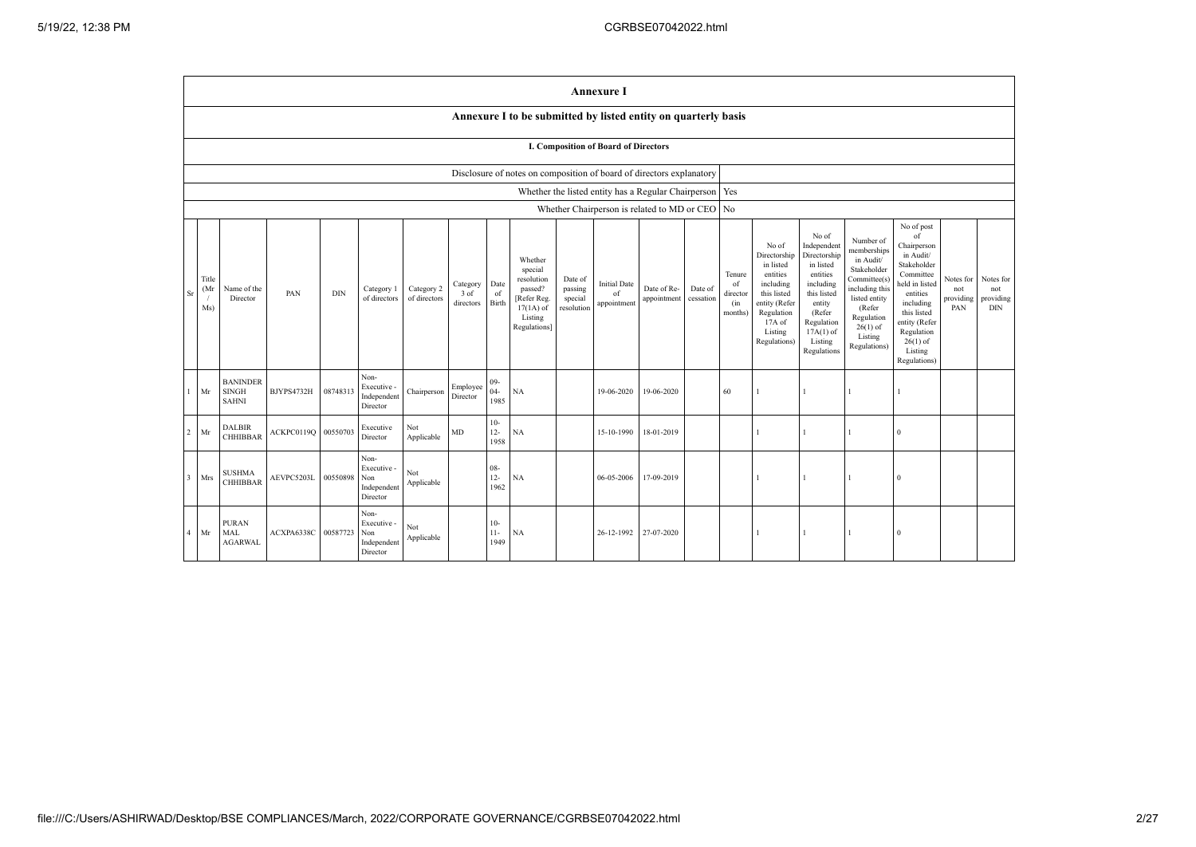|                | <b>Annexure I</b>                                                                                                                                                                                                                                                                                                                                                                                                                                              |                                                 |            |          |                                                       |                                                                                                                                                |                                                                                                                                                                      |                                                                                                                                                                          |                                                                                                                                                                                                            |                                      |                                             |                                                |  |    |  |  |              |              |  |  |
|----------------|----------------------------------------------------------------------------------------------------------------------------------------------------------------------------------------------------------------------------------------------------------------------------------------------------------------------------------------------------------------------------------------------------------------------------------------------------------------|-------------------------------------------------|------------|----------|-------------------------------------------------------|------------------------------------------------------------------------------------------------------------------------------------------------|----------------------------------------------------------------------------------------------------------------------------------------------------------------------|--------------------------------------------------------------------------------------------------------------------------------------------------------------------------|------------------------------------------------------------------------------------------------------------------------------------------------------------------------------------------------------------|--------------------------------------|---------------------------------------------|------------------------------------------------|--|----|--|--|--------------|--------------|--|--|
|                |                                                                                                                                                                                                                                                                                                                                                                                                                                                                |                                                 |            |          |                                                       |                                                                                                                                                |                                                                                                                                                                      |                                                                                                                                                                          | Annexure I to be submitted by listed entity on quarterly basis                                                                                                                                             |                                      |                                             |                                                |  |    |  |  |              |              |  |  |
|                | <b>I. Composition of Board of Directors</b>                                                                                                                                                                                                                                                                                                                                                                                                                    |                                                 |            |          |                                                       |                                                                                                                                                |                                                                                                                                                                      |                                                                                                                                                                          |                                                                                                                                                                                                            |                                      |                                             |                                                |  |    |  |  |              |              |  |  |
|                | Disclosure of notes on composition of board of directors explanatory                                                                                                                                                                                                                                                                                                                                                                                           |                                                 |            |          |                                                       |                                                                                                                                                |                                                                                                                                                                      |                                                                                                                                                                          |                                                                                                                                                                                                            |                                      |                                             |                                                |  |    |  |  |              |              |  |  |
|                | Whether the listed entity has a Regular Chairperson   Yes                                                                                                                                                                                                                                                                                                                                                                                                      |                                                 |            |          |                                                       |                                                                                                                                                |                                                                                                                                                                      |                                                                                                                                                                          |                                                                                                                                                                                                            |                                      |                                             |                                                |  |    |  |  |              |              |  |  |
|                |                                                                                                                                                                                                                                                                                                                                                                                                                                                                |                                                 |            |          |                                                       |                                                                                                                                                |                                                                                                                                                                      |                                                                                                                                                                          |                                                                                                                                                                                                            |                                      |                                             | Whether Chairperson is related to MD or CEO No |  |    |  |  |              |              |  |  |
| Sr             | Whether<br>special<br>Title<br>resolution<br>Date of<br>Date<br><b>Initial Date</b><br>Category<br>Category 2<br>Date of Re-<br>Date of<br>(M <sub>i</sub> )<br>Name of the<br>Category 1<br>passed?<br>passing<br>PAN<br><b>DIN</b><br>3 of<br>of<br>of<br>of directors<br>cessation<br>Director<br>of directors<br>[Refer Reg.<br>special<br>appointment<br>Birth<br>directors<br>appointment<br>$17(1A)$ of<br>resolution<br>Ms)<br>Listing<br>Regulations] |                                                 |            |          | Tenure<br>of<br>director<br>(in<br>months)            | No of<br>Directorship<br>in listed<br>entities<br>including<br>this listed<br>entity (Refer<br>Regulation<br>17A of<br>Listing<br>Regulations) | No of<br>Independent<br>Directorship<br>in listed<br>entities<br>including<br>this listed<br>entity<br>(Refer<br>Regulation<br>$17A(1)$ of<br>Listing<br>Regulations | Number of<br>memberships<br>in Audit/<br>Stakeholder<br>Committee(s)<br>including this<br>listed entity<br>(Refer<br>Regulation<br>$26(1)$ of<br>Listing<br>Regulations) | No of post<br>of<br>Chairperson<br>in Audit/<br>Stakeholder<br>Committee<br>held in listed<br>entities<br>including<br>this listed<br>entity (Refer<br>Regulation<br>$26(1)$ of<br>Listing<br>Regulations) | Notes for<br>not<br>providing<br>PAN | Notes for<br>not<br>providing<br><b>DIN</b> |                                                |  |    |  |  |              |              |  |  |
|                | Mr                                                                                                                                                                                                                                                                                                                                                                                                                                                             | <b>BANINDER</b><br><b>SINGH</b><br><b>SAHNI</b> | BJYPS4732H | 08748313 | Non-<br>Executive -<br>Independent<br>Director        | Chairperson                                                                                                                                    | Employee<br>Director                                                                                                                                                 | $09 -$<br>$04 -$<br>1985                                                                                                                                                 | NA                                                                                                                                                                                                         |                                      | 19-06-2020                                  | 19-06-2020                                     |  | 60 |  |  | 1            |              |  |  |
| $\overline{2}$ | $\rm{Mr}$                                                                                                                                                                                                                                                                                                                                                                                                                                                      | <b>DALBIR</b><br><b>CHHIBBAR</b>                | ACKPC0119Q | 00550703 | Executive<br>Director                                 | Not<br>Applicable                                                                                                                              | $\rm MD$                                                                                                                                                             | $10-$<br>$12 -$<br>1958                                                                                                                                                  | NA                                                                                                                                                                                                         |                                      | 15-10-1990                                  | 18-01-2019                                     |  |    |  |  | $\mathbf{1}$ | $\mathbf{0}$ |  |  |
| $\overline{3}$ | Mrs                                                                                                                                                                                                                                                                                                                                                                                                                                                            | <b>SUSHMA</b><br><b>CHHIBBAR</b>                | AEVPC5203L | 00550898 | Non-<br>Executive -<br>Non<br>Independent<br>Director | Not<br>Applicable                                                                                                                              |                                                                                                                                                                      | $08 -$<br>$12 -$<br>1962                                                                                                                                                 | NA                                                                                                                                                                                                         |                                      | 06-05-2006                                  | 17-09-2019                                     |  |    |  |  | $\mathbf{1}$ | $\mathbf{0}$ |  |  |
| 4              | Mr                                                                                                                                                                                                                                                                                                                                                                                                                                                             | <b>PURAN</b><br>MAL<br><b>AGARWAL</b>           | ACXPA6338C | 00587723 | Non-<br>Executive -<br>Non<br>Independent<br>Director | Not<br>Applicable                                                                                                                              |                                                                                                                                                                      | $10-$<br>$11 -$<br>1949                                                                                                                                                  | <b>NA</b>                                                                                                                                                                                                  |                                      | 26-12-1992 27-07-2020                       |                                                |  |    |  |  | $\mathbf{1}$ | $\theta$     |  |  |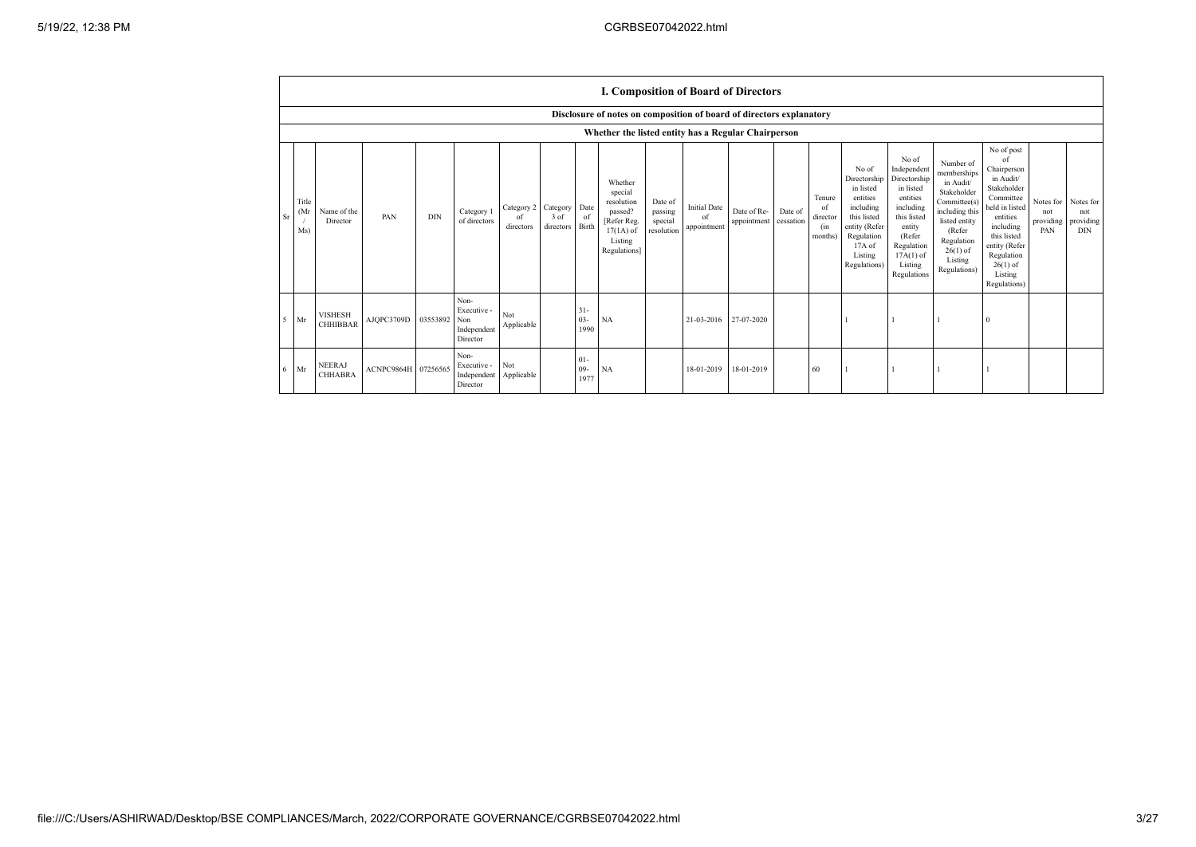|                | I. Composition of Board of Directors                                 |                                   |                     |            |                                                       |                               |                                 |                                |                                                                                                      |                                             |                                          |                            |                      |                                                       |                                                                                                                                                |                                                                                                                                                                      |                                                                                                                                                                          |                                                                                                                                                                                                            |                                      |                                               |
|----------------|----------------------------------------------------------------------|-----------------------------------|---------------------|------------|-------------------------------------------------------|-------------------------------|---------------------------------|--------------------------------|------------------------------------------------------------------------------------------------------|---------------------------------------------|------------------------------------------|----------------------------|----------------------|-------------------------------------------------------|------------------------------------------------------------------------------------------------------------------------------------------------|----------------------------------------------------------------------------------------------------------------------------------------------------------------------|--------------------------------------------------------------------------------------------------------------------------------------------------------------------------|------------------------------------------------------------------------------------------------------------------------------------------------------------------------------------------------------------|--------------------------------------|-----------------------------------------------|
|                | Disclosure of notes on composition of board of directors explanatory |                                   |                     |            |                                                       |                               |                                 |                                |                                                                                                      |                                             |                                          |                            |                      |                                                       |                                                                                                                                                |                                                                                                                                                                      |                                                                                                                                                                          |                                                                                                                                                                                                            |                                      |                                               |
|                |                                                                      |                                   |                     |            |                                                       |                               |                                 |                                | Whether the listed entity has a Regular Chairperson                                                  |                                             |                                          |                            |                      |                                                       |                                                                                                                                                |                                                                                                                                                                      |                                                                                                                                                                          |                                                                                                                                                                                                            |                                      |                                               |
| S <sub>I</sub> | Title<br>(Mr<br>Ms)                                                  | Name of the<br>Director           | PAN                 | <b>DIN</b> | Category 1<br>of directors                            | Category 2<br>of<br>directors | Category<br>$3$ of<br>directors | Date<br><sup>of</sup><br>Birth | Whether<br>special<br>resolution<br>passed?<br>[Refer Reg.<br>$17(1A)$ of<br>Listing<br>Regulations] | Date of<br>passing<br>special<br>resolution | <b>Initial Date</b><br>of<br>appointment | Date of Re-<br>appointment | Date of<br>cessation | Tenure<br><sup>of</sup><br>director<br>(in<br>months) | No of<br>Directorship<br>in listed<br>entities<br>including<br>this listed<br>entity (Refer<br>Regulation<br>17A of<br>Listing<br>Regulations) | No of<br>Independent<br>Directorship<br>in listed<br>entities<br>including<br>this listed<br>entity<br>(Refer<br>Regulation<br>$17A(1)$ of<br>Listing<br>Regulations | Number of<br>memberships<br>in Audit/<br>Stakeholder<br>Committee(s)<br>including this<br>listed entity<br>(Refer<br>Regulation<br>$26(1)$ of<br>Listing<br>Regulations) | No of post<br>of<br>Chairperson<br>in Audit/<br>Stakeholder<br>Committee<br>held in listed<br>entities<br>including<br>this listed<br>entity (Refer<br>Regulation<br>$26(1)$ of<br>Listing<br>Regulations) | Notes for<br>not<br>providing<br>PAN | Notes for<br>not<br>providing  <br><b>DIN</b> |
| ٠5             | Mr                                                                   | <b>VISHESH</b><br><b>CHHIBBAR</b> | AJQPC3709D          | 03553892   | Non-<br>Executive -<br>Non<br>Independent<br>Director | Not<br>Applicable             |                                 | $31 -$<br>$03 -$<br>1990       | NA                                                                                                   |                                             | 21-03-2016                               | 27-07-2020                 |                      |                                                       |                                                                                                                                                |                                                                                                                                                                      |                                                                                                                                                                          | $\Omega$                                                                                                                                                                                                   |                                      |                                               |
| 6              | Mr                                                                   | <b>NEERAJ</b><br><b>CHHABRA</b>   | ACNPC9864H 07256565 |            | Non-<br>Executive -<br>Independent<br>Director        | Not<br>Applicable             |                                 | $01 -$<br>$09-$<br>1977        | NA                                                                                                   |                                             | 18-01-2019                               | 18-01-2019                 |                      | 60                                                    |                                                                                                                                                |                                                                                                                                                                      |                                                                                                                                                                          |                                                                                                                                                                                                            |                                      |                                               |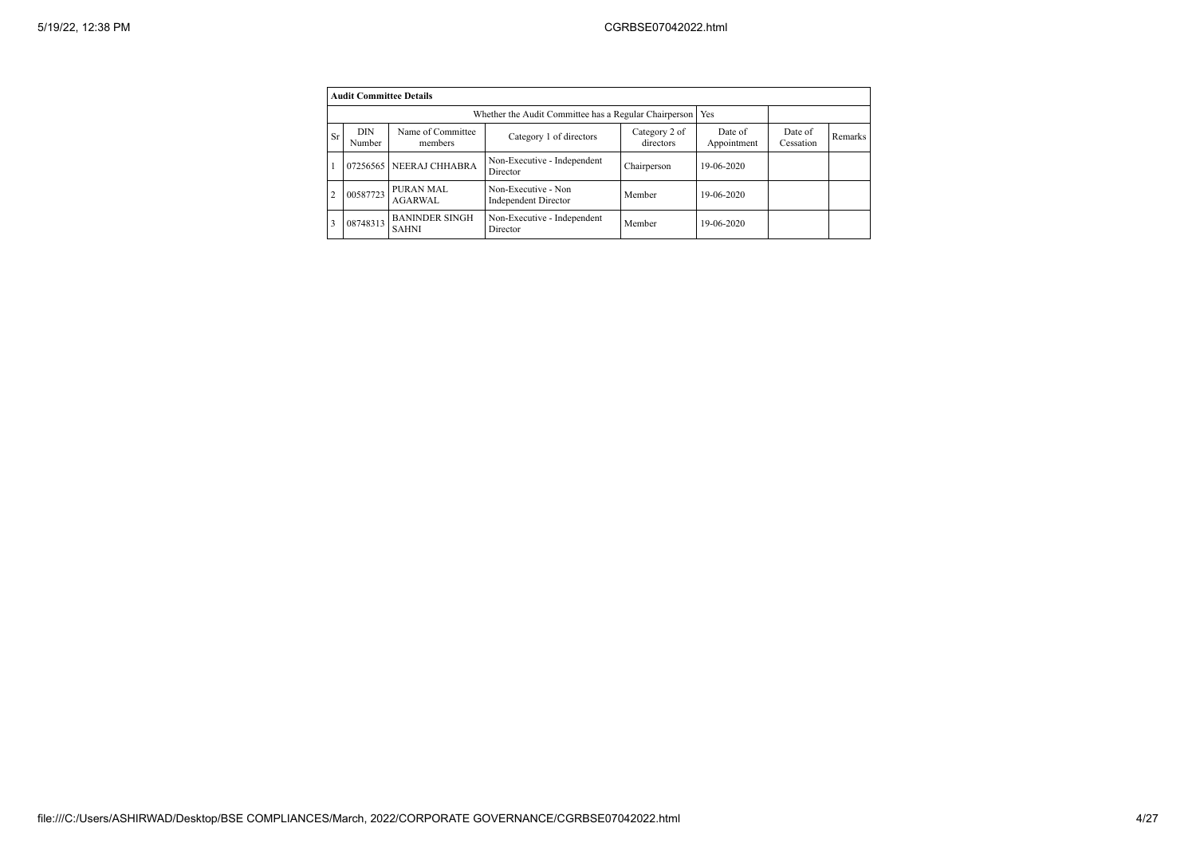|                | <b>Audit Committee Details</b> |                                       |                                                             |                            |                        |                      |                |  |  |  |
|----------------|--------------------------------|---------------------------------------|-------------------------------------------------------------|----------------------------|------------------------|----------------------|----------------|--|--|--|
|                |                                |                                       | Whether the Audit Committee has a Regular Chairperson   Yes |                            |                        |                      |                |  |  |  |
| Sr             | <b>DIN</b><br>Number           | Name of Committee<br>members          | Category 1 of directors                                     | Category 2 of<br>directors | Date of<br>Appointment | Date of<br>Cessation | <b>Remarks</b> |  |  |  |
|                |                                | 07256565 NEERAJ CHHABRA               | Non-Executive - Independent<br>Director                     | Chairperson                | 19-06-2020             |                      |                |  |  |  |
| $\overline{2}$ | 00587723                       | PURAN MAL<br><b>AGARWAL</b>           | Non-Executive - Non<br>Independent Director                 | Member                     | 19-06-2020             |                      |                |  |  |  |
| 3              | 08748313                       | <b>BANINDER SINGH</b><br><b>SAHNI</b> | Non-Executive - Independent<br>Director                     | Member                     | 19-06-2020             |                      |                |  |  |  |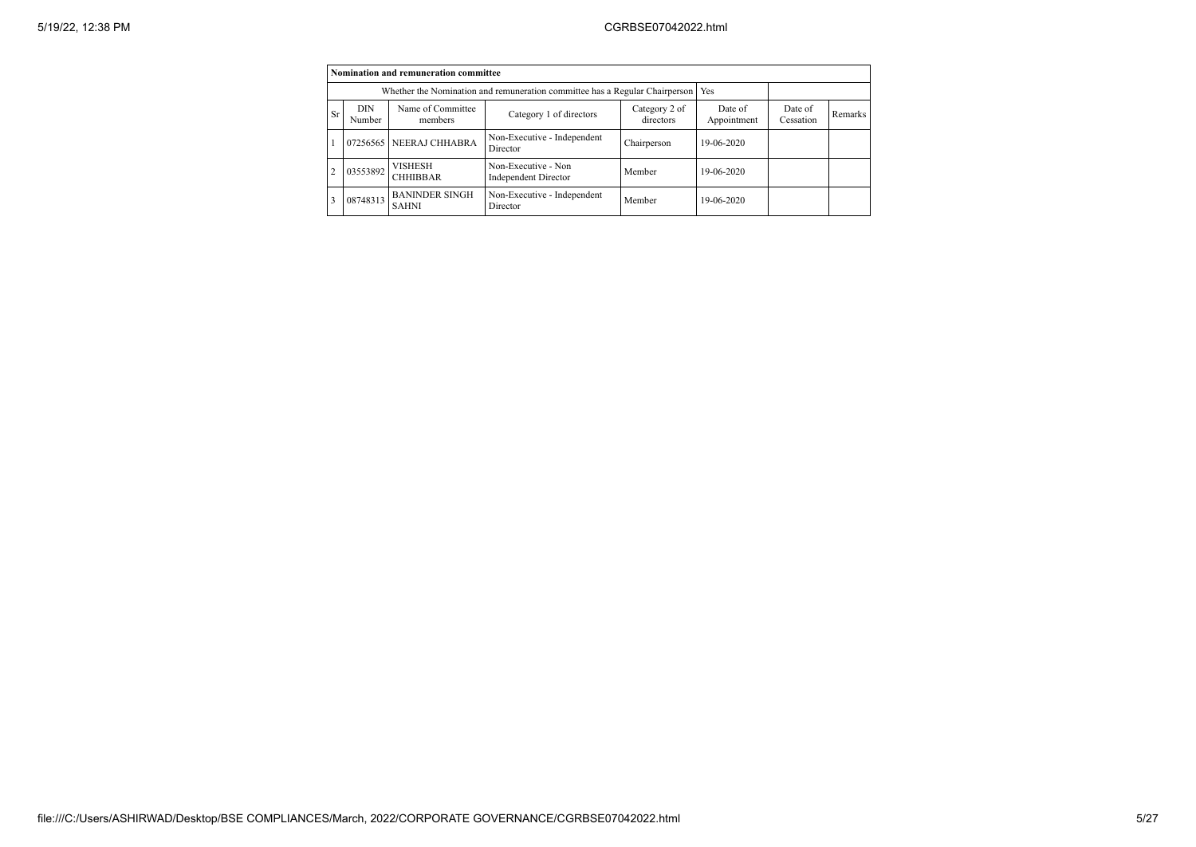|                | Nomination and remuneration committee                                                                         |                                       |                                                    |             |                        |                      |         |  |  |  |
|----------------|---------------------------------------------------------------------------------------------------------------|---------------------------------------|----------------------------------------------------|-------------|------------------------|----------------------|---------|--|--|--|
|                | Whether the Nomination and remuneration committee has a Regular Chairperson                                   | Yes                                   |                                                    |             |                        |                      |         |  |  |  |
| Sr             | Name of Committee<br><b>DIN</b><br>Category 2 of<br>Category 1 of directors<br>directors<br>Number<br>members |                                       |                                                    |             | Date of<br>Appointment | Date of<br>Cessation | Remarks |  |  |  |
|                |                                                                                                               | 07256565 NEERAJ CHHABRA               | Non-Executive - Independent<br>Director            | Chairperson | 19-06-2020             |                      |         |  |  |  |
| $\overline{2}$ | 03553892                                                                                                      | <b>VISHESH</b><br><b>CHHIBBAR</b>     | Non-Executive - Non<br><b>Independent Director</b> | Member      | 19-06-2020             |                      |         |  |  |  |
| 3              | 08748313                                                                                                      | <b>BANINDER SINGH</b><br><b>SAHNI</b> | Non-Executive - Independent<br>Director            | Member      | 19-06-2020             |                      |         |  |  |  |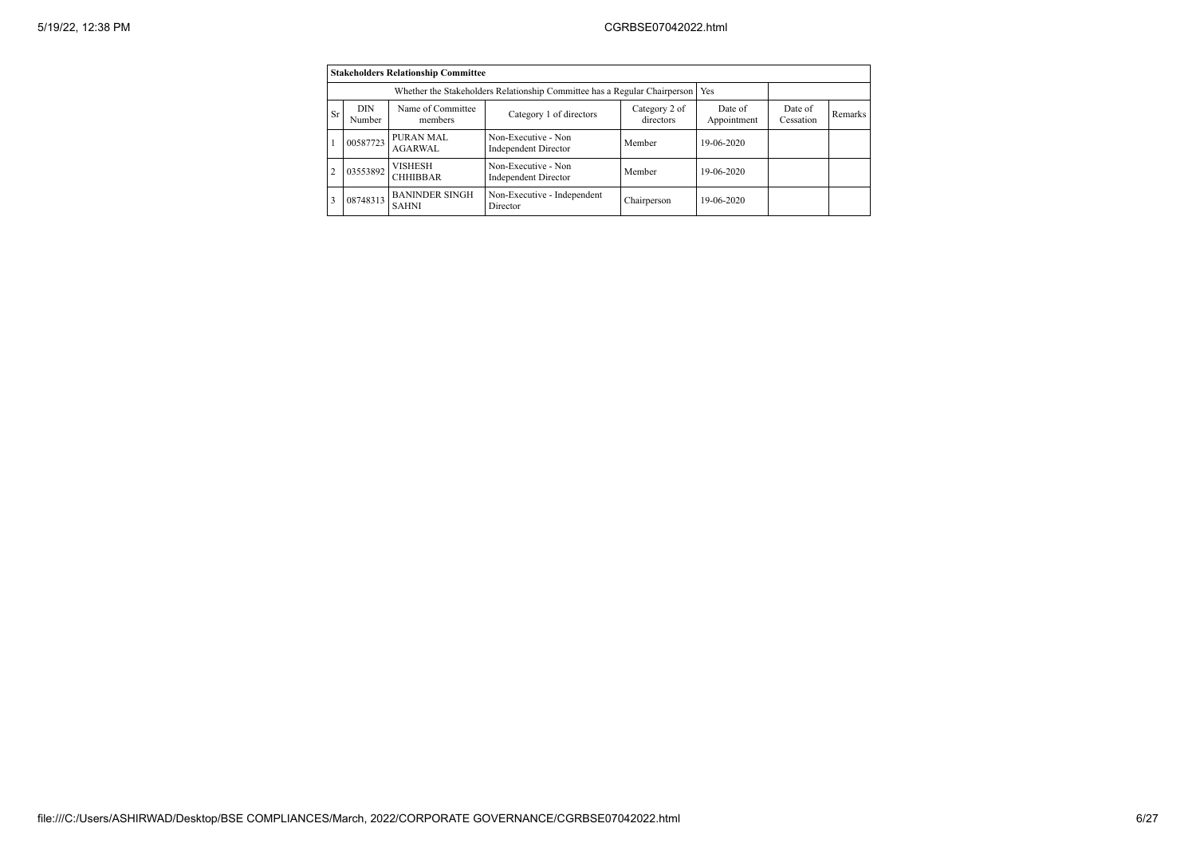|    |                      | <b>Stakeholders Relationship Committee</b>                                |                                                    |                            |                        |                      |         |
|----|----------------------|---------------------------------------------------------------------------|----------------------------------------------------|----------------------------|------------------------|----------------------|---------|
|    |                      | Whether the Stakeholders Relationship Committee has a Regular Chairperson |                                                    | Yes                        |                        |                      |         |
| Sr | <b>DIN</b><br>Number | Name of Committee<br>members                                              | Category 1 of directors                            | Category 2 of<br>directors | Date of<br>Appointment | Date of<br>Cessation | Remarks |
|    | 00587723             | PURAN MAL<br><b>AGARWAL</b>                                               | Non-Executive - Non<br>Independent Director        | Member                     | 19-06-2020             |                      |         |
|    | 03553892             | <b>VISHESH</b><br><b>CHHIBBAR</b>                                         | Non-Executive - Non<br><b>Independent Director</b> | Member                     | 19-06-2020             |                      |         |
|    | 08748313             | <b>BANINDER SINGH</b><br><b>SAHNI</b>                                     | Non-Executive - Independent<br>Director            | Chairperson                | 19-06-2020             |                      |         |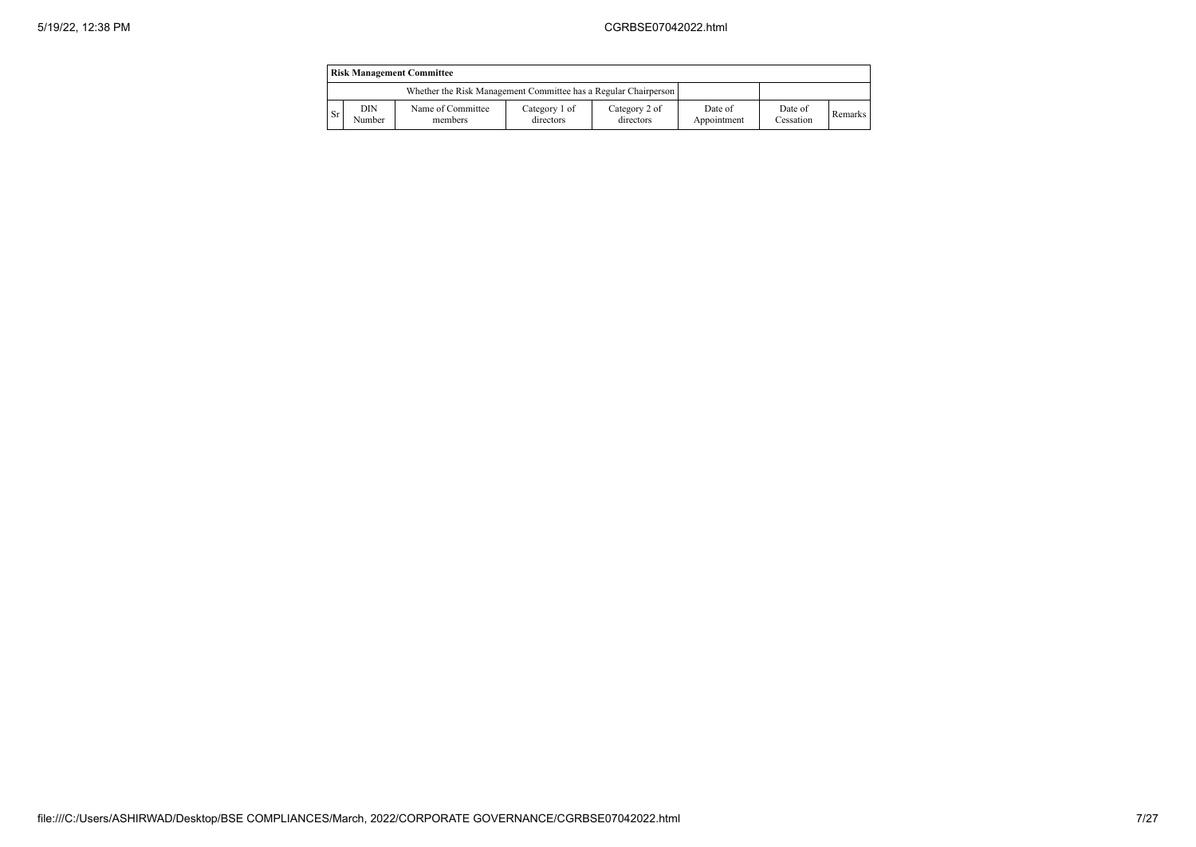|           | <b>Risk Management Committee</b> |                                                                 |                            |                            |                        |                      |                |  |  |
|-----------|----------------------------------|-----------------------------------------------------------------|----------------------------|----------------------------|------------------------|----------------------|----------------|--|--|
|           |                                  | Whether the Risk Management Committee has a Regular Chairperson |                            |                            |                        |                      |                |  |  |
| <b>Sr</b> | DIN<br>Number                    | Name of Committee<br>members                                    | Category 1 of<br>directors | Category 2 of<br>directors | Date of<br>Appointment | Date of<br>Cessation | <b>Remarks</b> |  |  |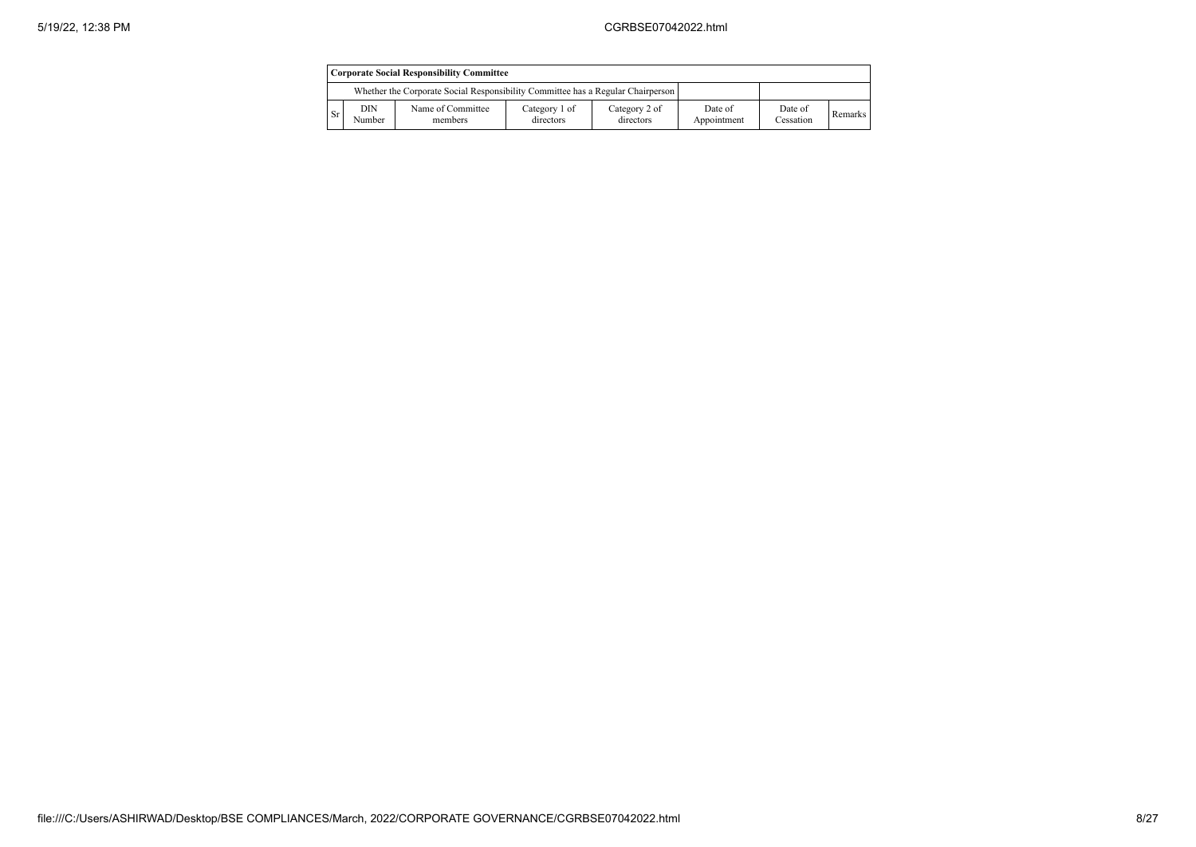|    | <b>Corporate Social Responsibility Committee</b> |                                                                                 |                            |                            |                        |                      |         |  |  |
|----|--------------------------------------------------|---------------------------------------------------------------------------------|----------------------------|----------------------------|------------------------|----------------------|---------|--|--|
|    |                                                  | Whether the Corporate Social Responsibility Committee has a Regular Chairperson |                            |                            |                        |                      |         |  |  |
| Sr | DIN<br>Number                                    | Name of Committee<br>members                                                    | Category 1 of<br>directors | Category 2 of<br>directors | Date of<br>Appointment | Date of<br>Cessation | Remarks |  |  |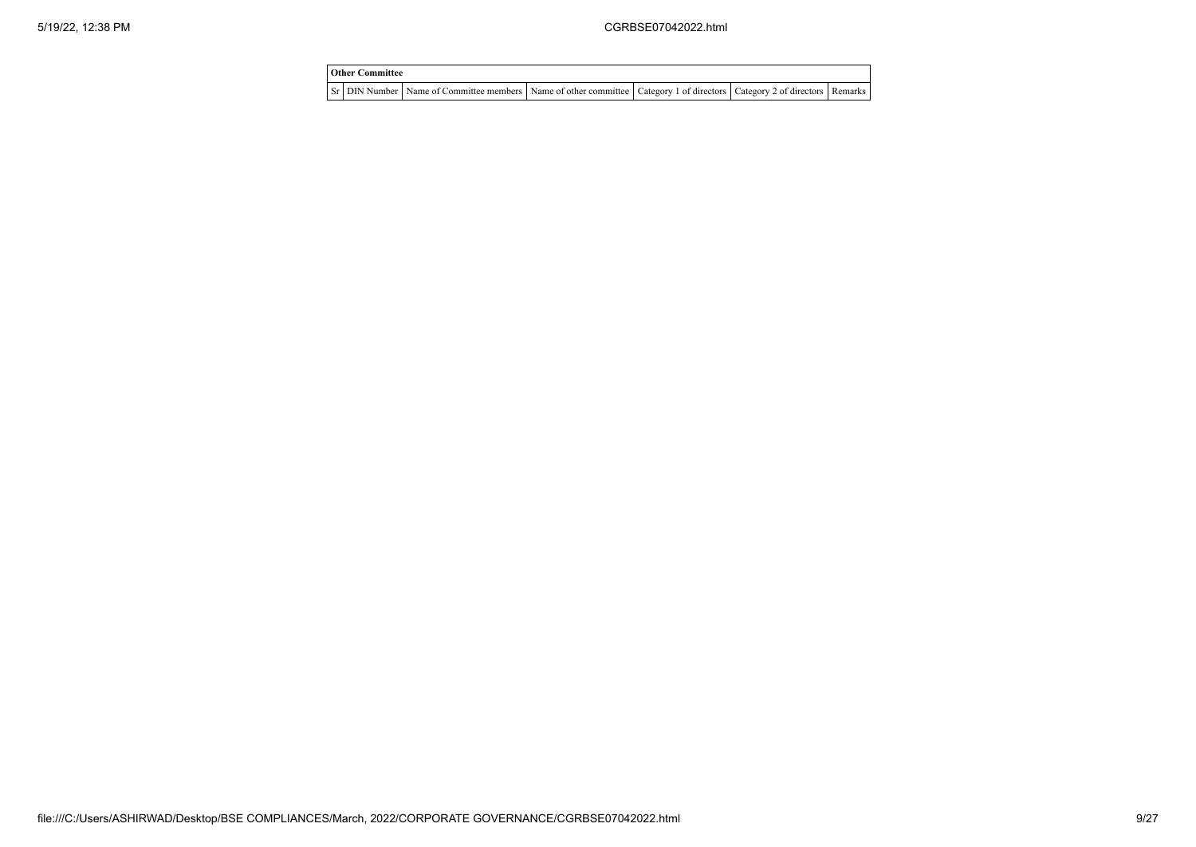| <b>Other Committee</b> |                                                                                                                                     |  |  |  |  |  |  |  |
|------------------------|-------------------------------------------------------------------------------------------------------------------------------------|--|--|--|--|--|--|--|
|                        | Sr   DIN Number   Name of Committee members   Name of other committee   Category 1 of directors   Category 2 of directors   Remarks |  |  |  |  |  |  |  |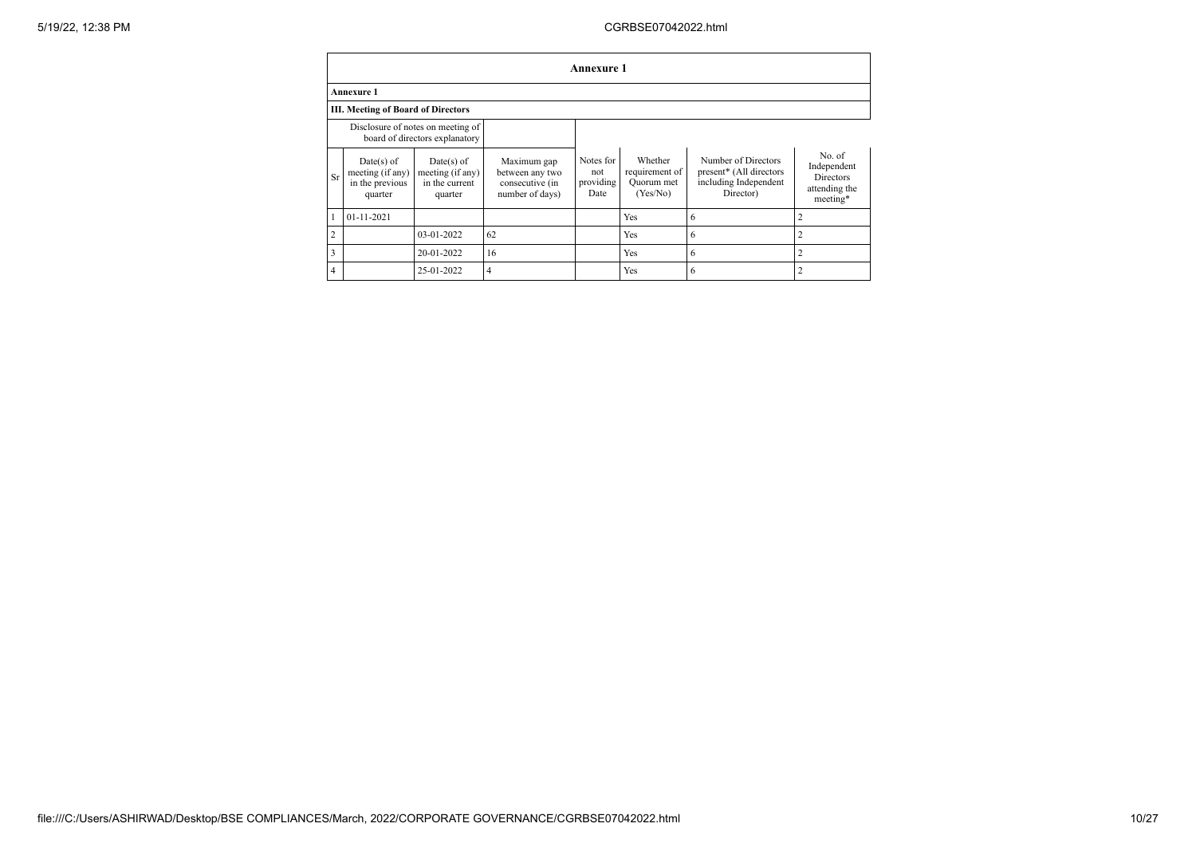## 5/19/22, 12:38 PM CGRBSE07042022.html

|                                    | Annexure 1                                                     |                                                                     |                                                                      |                                       |                                                     |                                                                                      |                                                                        |  |  |  |
|------------------------------------|----------------------------------------------------------------|---------------------------------------------------------------------|----------------------------------------------------------------------|---------------------------------------|-----------------------------------------------------|--------------------------------------------------------------------------------------|------------------------------------------------------------------------|--|--|--|
|                                    | <b>Annexure 1</b>                                              |                                                                     |                                                                      |                                       |                                                     |                                                                                      |                                                                        |  |  |  |
| III. Meeting of Board of Directors |                                                                |                                                                     |                                                                      |                                       |                                                     |                                                                                      |                                                                        |  |  |  |
|                                    |                                                                | Disclosure of notes on meeting of<br>board of directors explanatory |                                                                      |                                       |                                                     |                                                                                      |                                                                        |  |  |  |
| Sr                                 | $Date(s)$ of<br>meeting (if any)<br>in the previous<br>quarter | $Date(s)$ of<br>meeting (if any)<br>in the current<br>quarter       | Maximum gap<br>between any two<br>consecutive (in<br>number of days) | Notes for<br>not<br>providing<br>Date | Whether<br>requirement of<br>Quorum met<br>(Yes/No) | Number of Directors<br>present* (All directors<br>including Independent<br>Director) | No. of<br>Independent<br><b>Directors</b><br>attending the<br>meeting* |  |  |  |
|                                    | $01 - 11 - 2021$                                               |                                                                     |                                                                      |                                       | Yes                                                 | 6                                                                                    |                                                                        |  |  |  |
| $\overline{c}$                     |                                                                | 03-01-2022                                                          | 62                                                                   |                                       | Yes                                                 | 6                                                                                    |                                                                        |  |  |  |
| 3                                  |                                                                | 20-01-2022                                                          | 16                                                                   |                                       | Yes                                                 | 6                                                                                    |                                                                        |  |  |  |
| $\overline{4}$                     |                                                                | 25-01-2022                                                          | 4                                                                    |                                       | Yes                                                 | $\ddot{\mathbf{0}}$                                                                  |                                                                        |  |  |  |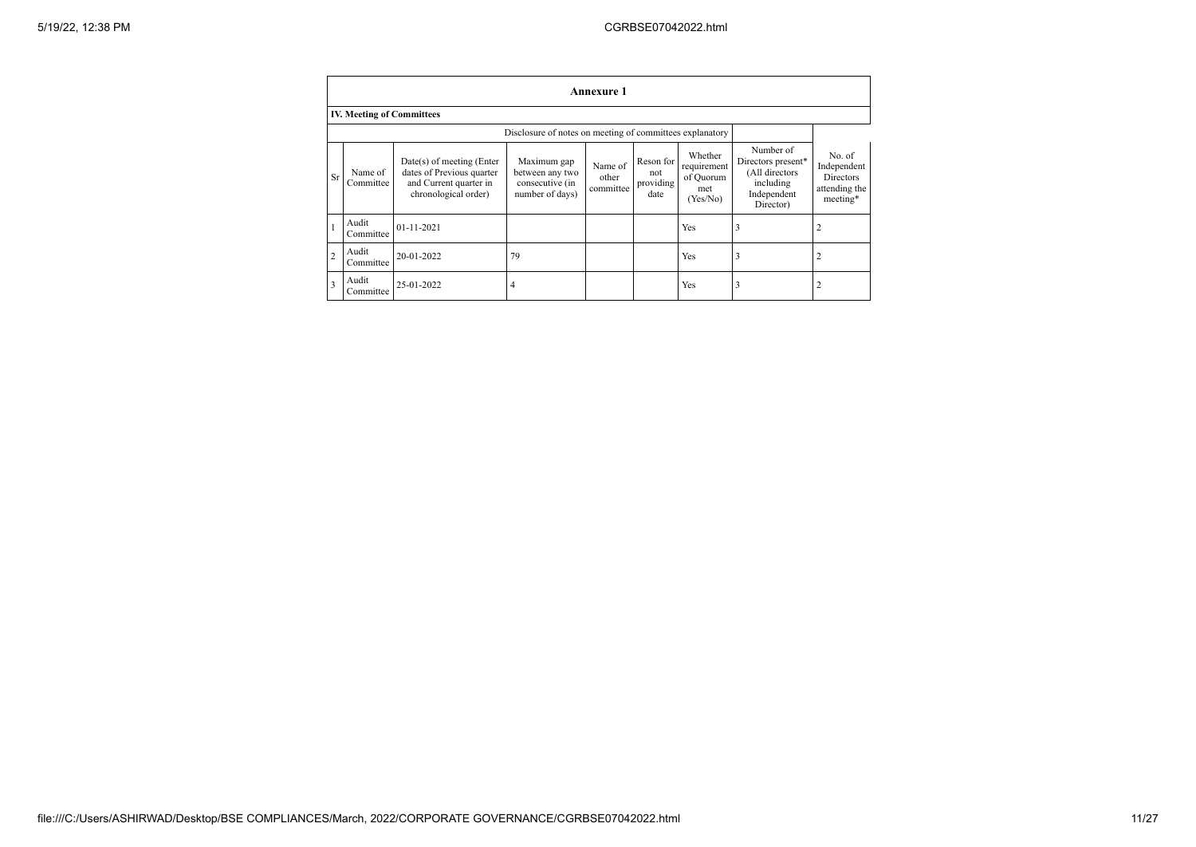|                | <b>Annexure 1</b>                |                                                                                                            |                                                                      |                               |                                       |                                                        |                                                                                            |                                                                        |  |
|----------------|----------------------------------|------------------------------------------------------------------------------------------------------------|----------------------------------------------------------------------|-------------------------------|---------------------------------------|--------------------------------------------------------|--------------------------------------------------------------------------------------------|------------------------------------------------------------------------|--|
|                | <b>IV. Meeting of Committees</b> |                                                                                                            |                                                                      |                               |                                       |                                                        |                                                                                            |                                                                        |  |
|                |                                  |                                                                                                            | Disclosure of notes on meeting of committees explanatory             |                               |                                       |                                                        |                                                                                            |                                                                        |  |
| <b>Sr</b>      | Name of<br>Committee             | $Date(s)$ of meeting (Enter<br>dates of Previous quarter<br>and Current quarter in<br>chronological order) | Maximum gap<br>between any two<br>consecutive (in<br>number of days) | Name of<br>other<br>committee | Reson for<br>not<br>providing<br>date | Whether<br>requirement<br>of Quorum<br>met<br>(Yes/No) | Number of<br>Directors present*<br>(All directors<br>including<br>Independent<br>Director) | No. of<br>Independent<br><b>Directors</b><br>attending the<br>meeting* |  |
|                | Audit<br>Committee               | $01 - 11 - 2021$                                                                                           |                                                                      |                               |                                       | Yes                                                    | 3                                                                                          | $\overline{c}$                                                         |  |
| $\overline{2}$ | Audit<br>Committee               | 20-01-2022                                                                                                 | 79                                                                   |                               |                                       | Yes                                                    | 3                                                                                          | $\overline{2}$                                                         |  |
| 3              | Audit<br>Committee               | 25-01-2022                                                                                                 | 4                                                                    |                               |                                       | Yes                                                    | 3                                                                                          | 2                                                                      |  |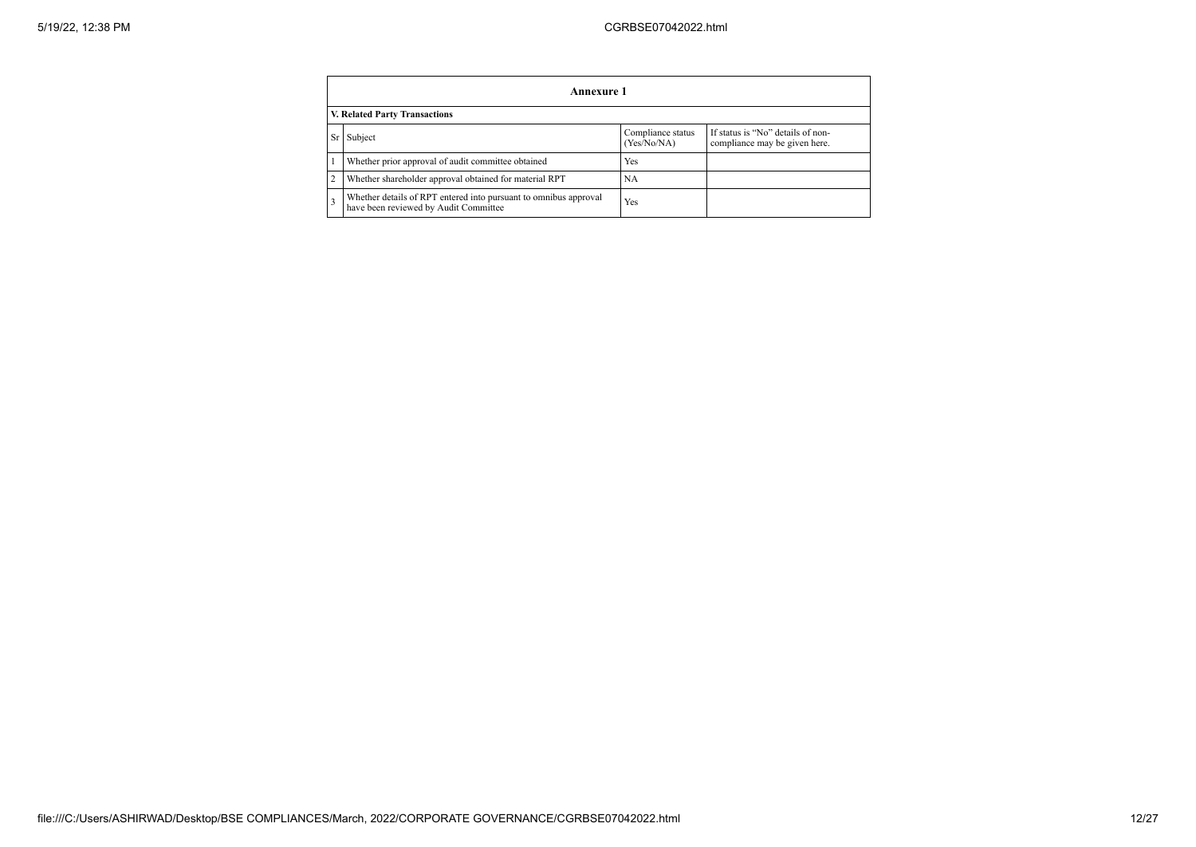|    | Annexure 1                                                                                                        |           |  |  |  |  |  |  |  |
|----|-------------------------------------------------------------------------------------------------------------------|-----------|--|--|--|--|--|--|--|
|    | V. Related Party Transactions                                                                                     |           |  |  |  |  |  |  |  |
| Sr | If status is "No" details of non-<br>Compliance status<br>Subject<br>(Yes/No/NA)<br>compliance may be given here. |           |  |  |  |  |  |  |  |
|    | Whether prior approval of audit committee obtained                                                                | Yes       |  |  |  |  |  |  |  |
|    | Whether shareholder approval obtained for material RPT                                                            | <b>NA</b> |  |  |  |  |  |  |  |
|    | Whether details of RPT entered into pursuant to omnibus approval<br>have been reviewed by Audit Committee         | Yes       |  |  |  |  |  |  |  |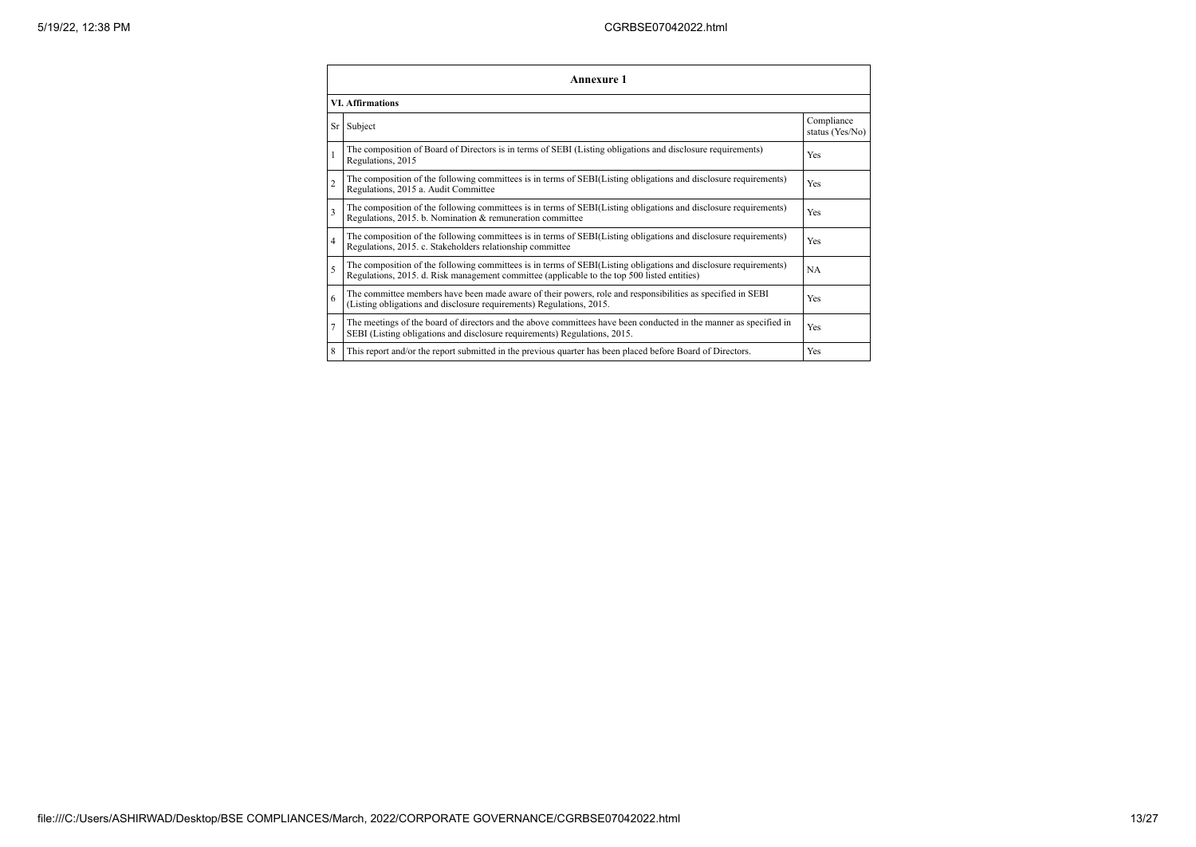|                          | <b>Annexure 1</b>                                                                                                                                                                                               |                               |  |  |  |
|--------------------------|-----------------------------------------------------------------------------------------------------------------------------------------------------------------------------------------------------------------|-------------------------------|--|--|--|
|                          | <b>VI.</b> Affirmations                                                                                                                                                                                         |                               |  |  |  |
|                          | Sr Subject                                                                                                                                                                                                      | Compliance<br>status (Yes/No) |  |  |  |
|                          | The composition of Board of Directors is in terms of SEBI (Listing obligations and disclosure requirements)<br>Regulations, 2015                                                                                | Yes                           |  |  |  |
| $\overline{2}$           | The composition of the following committees is in terms of SEBI(Listing obligations and disclosure requirements)<br>Regulations, 2015 a. Audit Committee                                                        | Yes                           |  |  |  |
| $\mathbf{3}$             | The composition of the following committees is in terms of SEBI(Listing obligations and disclosure requirements)<br>Regulations, 2015. b. Nomination & remuneration committee                                   | Yes                           |  |  |  |
| $\overline{4}$           | The composition of the following committees is in terms of SEBI(Listing obligations and disclosure requirements)<br>Regulations, 2015. c. Stakeholders relationship committee                                   | Yes                           |  |  |  |
| $\overline{\phantom{0}}$ | The composition of the following committees is in terms of SEBI(Listing obligations and disclosure requirements)<br>Regulations, 2015. d. Risk management committee (applicable to the top 500 listed entities) | <b>NA</b>                     |  |  |  |
| 6                        | The committee members have been made aware of their powers, role and responsibilities as specified in SEBI<br>(Listing obligations and disclosure requirements) Regulations, 2015.                              | Yes                           |  |  |  |
|                          | The meetings of the board of directors and the above committees have been conducted in the manner as specified in<br>SEBI (Listing obligations and disclosure requirements) Regulations, 2015.                  | Yes                           |  |  |  |
| 8                        | This report and/or the report submitted in the previous quarter has been placed before Board of Directors.                                                                                                      | Yes                           |  |  |  |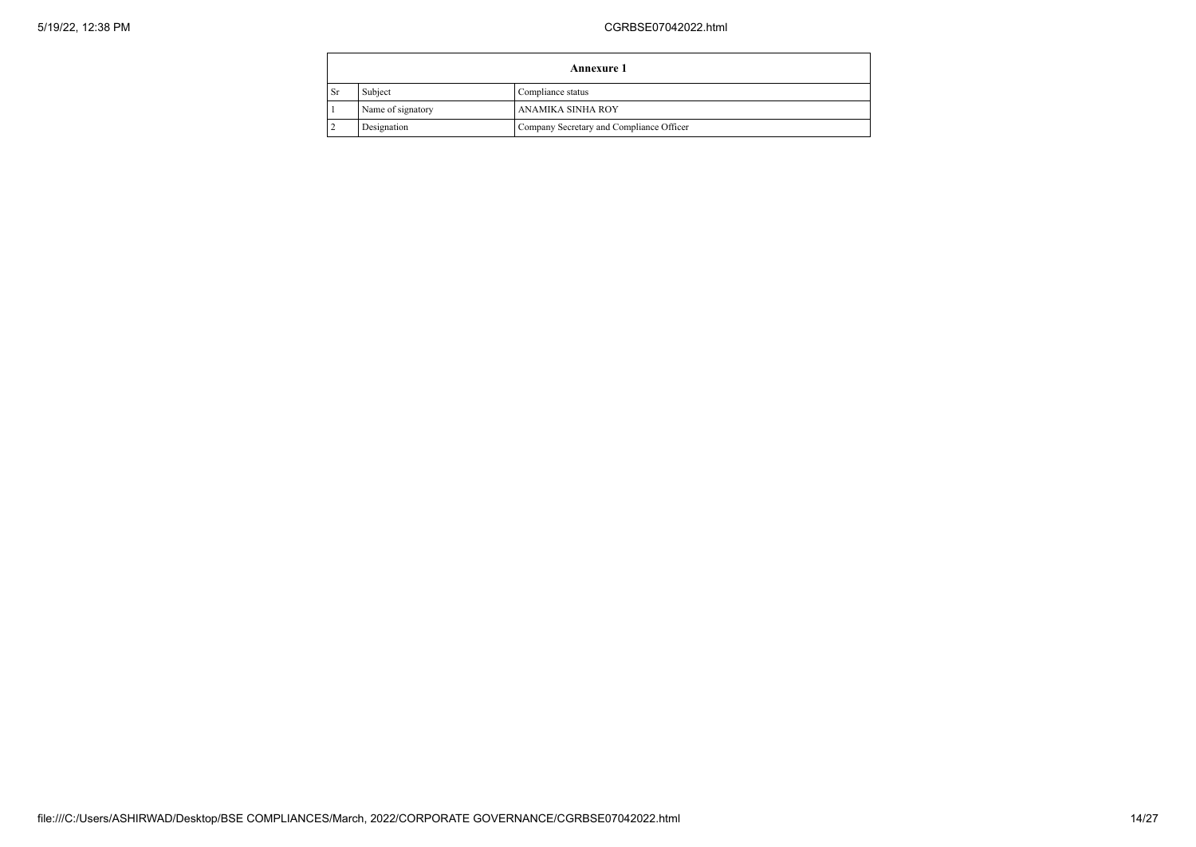|                | Annexure 1        |                                          |  |  |
|----------------|-------------------|------------------------------------------|--|--|
| <b>Sr</b>      | Subject           | Compliance status                        |  |  |
|                | Name of signatory | ANAMIKA SINHA ROY                        |  |  |
| $\overline{2}$ | Designation       | Company Secretary and Compliance Officer |  |  |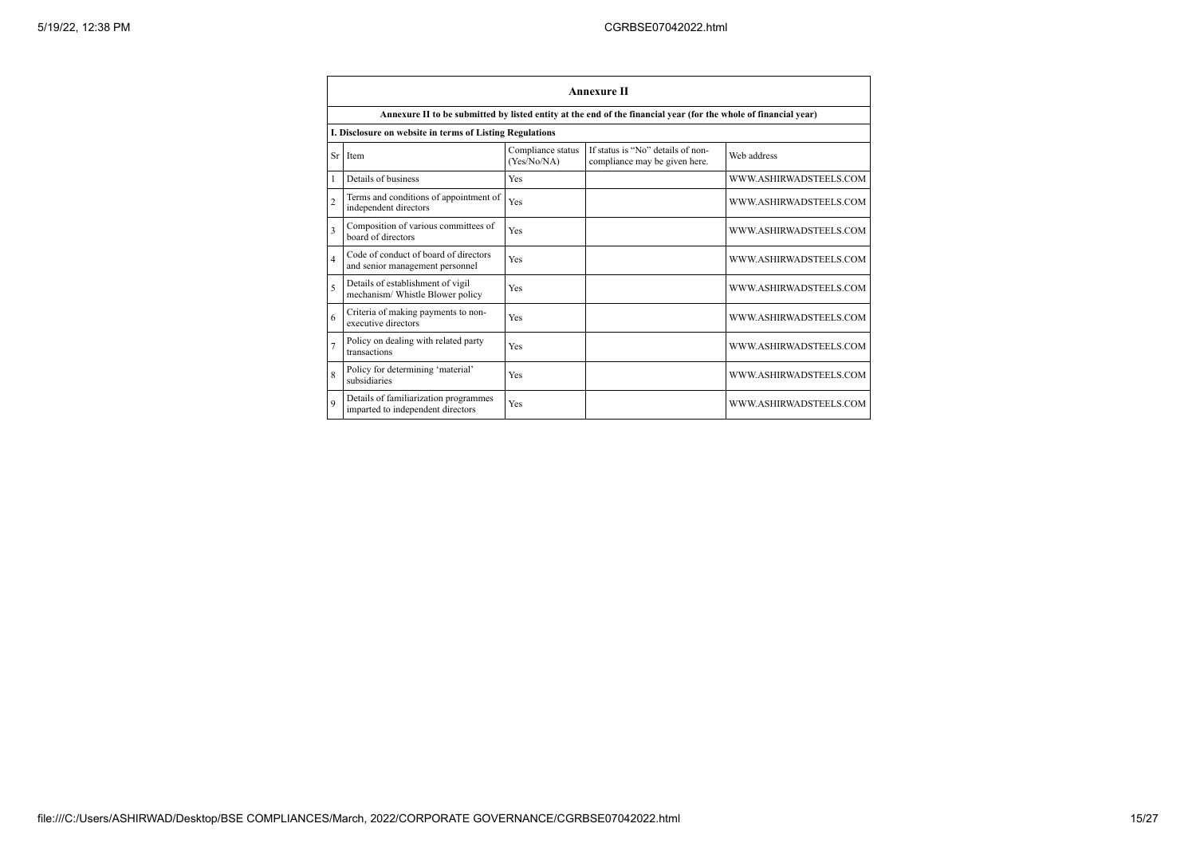|                | <b>Annexure II</b>                                                                                              |                                  |                                                                    |                        |  |  |
|----------------|-----------------------------------------------------------------------------------------------------------------|----------------------------------|--------------------------------------------------------------------|------------------------|--|--|
|                | Annexure II to be submitted by listed entity at the end of the financial year (for the whole of financial year) |                                  |                                                                    |                        |  |  |
|                | I. Disclosure on website in terms of Listing Regulations                                                        |                                  |                                                                    |                        |  |  |
| Sr             | Item                                                                                                            | Compliance status<br>(Yes/No/NA) | If status is "No" details of non-<br>compliance may be given here. | Web address            |  |  |
|                | Details of business                                                                                             | Yes                              |                                                                    | WWW.ASHIRWADSTEELS.COM |  |  |
| $\overline{c}$ | Terms and conditions of appointment of<br>independent directors                                                 | Yes                              |                                                                    | WWW.ASHIRWADSTEELS.COM |  |  |
| 3              | Composition of various committees of<br>board of directors                                                      | Yes                              |                                                                    | WWW.ASHIRWADSTEELS.COM |  |  |
| $\overline{4}$ | Code of conduct of board of directors<br>and senior management personnel                                        | Yes                              |                                                                    | WWW.ASHIRWADSTEELS.COM |  |  |
| 5              | Details of establishment of vigil<br>mechanism/ Whistle Blower policy                                           | Yes                              |                                                                    | WWW.ASHIRWADSTEELS.COM |  |  |
| 6              | Criteria of making payments to non-<br>executive directors                                                      | Yes                              |                                                                    | WWW.ASHIRWADSTEELS.COM |  |  |
|                | Policy on dealing with related party<br>transactions                                                            | Yes                              |                                                                    | WWW.ASHIRWADSTEELS.COM |  |  |
| $\mathbf{8}$   | Policy for determining 'material'<br>subsidiaries                                                               | Yes                              |                                                                    | WWW.ASHIRWADSTEELS.COM |  |  |
| $\mathbf{Q}$   | Details of familiarization programmes<br>imparted to independent directors                                      | Yes                              |                                                                    | WWW.ASHIRWADSTEELS.COM |  |  |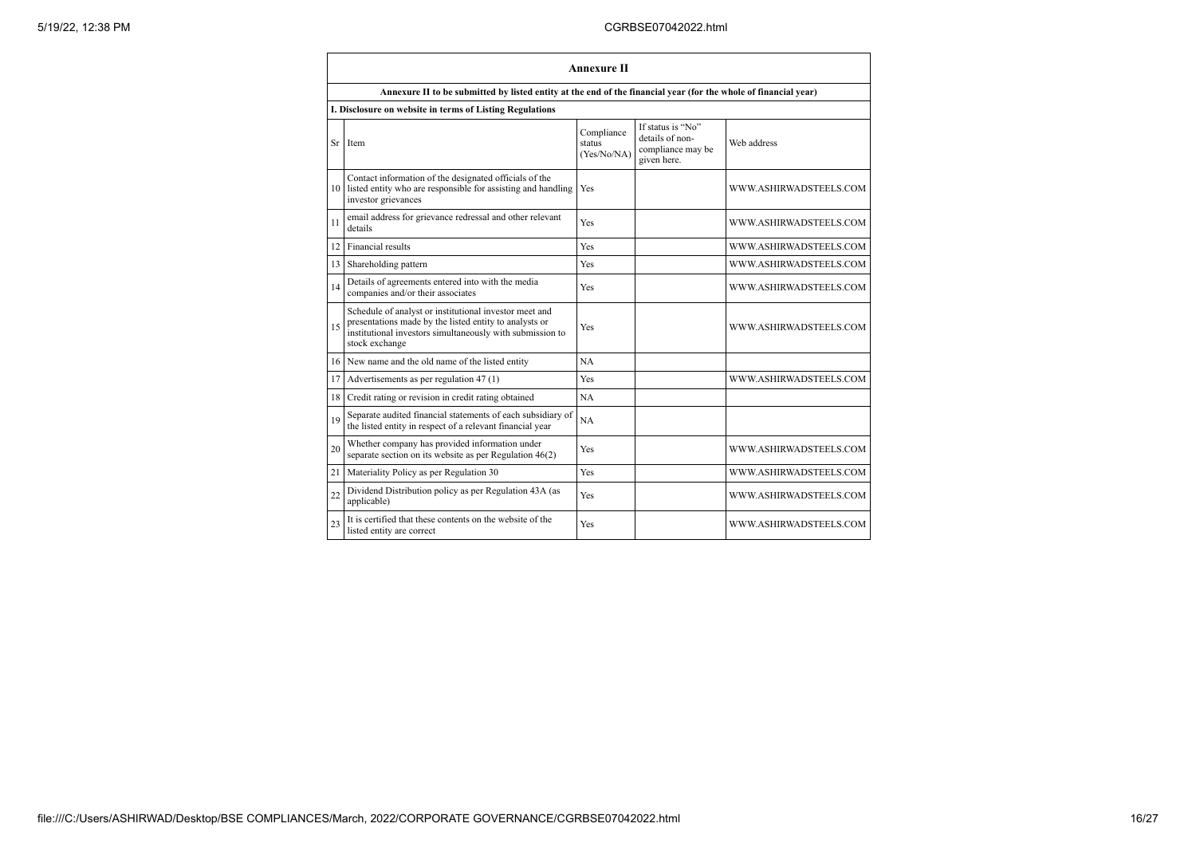|                 | <b>Annexure II</b>                                                                                                                                                                              |                                     |                                                                          |                        |  |  |
|-----------------|-------------------------------------------------------------------------------------------------------------------------------------------------------------------------------------------------|-------------------------------------|--------------------------------------------------------------------------|------------------------|--|--|
|                 | Annexure II to be submitted by listed entity at the end of the financial year (for the whole of financial year)                                                                                 |                                     |                                                                          |                        |  |  |
|                 | I. Disclosure on website in terms of Listing Regulations                                                                                                                                        |                                     |                                                                          |                        |  |  |
| Sr              | Item                                                                                                                                                                                            | Compliance<br>status<br>(Yes/No/NA) | If status is "No"<br>details of non-<br>compliance may be<br>given here. | Web address            |  |  |
| 10              | Contact information of the designated officials of the<br>listed entity who are responsible for assisting and handling<br>investor grievances                                                   | Yes                                 |                                                                          | WWW.ASHIRWADSTEELS.COM |  |  |
| 11              | email address for grievance redressal and other relevant<br>details                                                                                                                             | Yes                                 |                                                                          | WWW.ASHIRWADSTEELS.COM |  |  |
| 12 <sup>1</sup> | Financial results                                                                                                                                                                               | Yes                                 |                                                                          | WWW.ASHIRWADSTEELS.COM |  |  |
| 13              | Shareholding pattern                                                                                                                                                                            | Yes                                 |                                                                          | WWW.ASHIRWADSTEELS.COM |  |  |
| 14              | Details of agreements entered into with the media<br>companies and/or their associates                                                                                                          | Yes                                 |                                                                          | WWW.ASHIRWADSTEELS.COM |  |  |
| 15              | Schedule of analyst or institutional investor meet and<br>presentations made by the listed entity to analysts or<br>institutional investors simultaneously with submission to<br>stock exchange | Yes                                 |                                                                          | WWW.ASHIRWADSTEELS.COM |  |  |
|                 | 16 New name and the old name of the listed entity                                                                                                                                               | NA                                  |                                                                          |                        |  |  |
| 17              | Advertisements as per regulation 47 (1)                                                                                                                                                         | Yes                                 |                                                                          | WWW.ASHIRWADSTEELS.COM |  |  |
| 18              | Credit rating or revision in credit rating obtained                                                                                                                                             | <b>NA</b>                           |                                                                          |                        |  |  |
| 19              | Separate audited financial statements of each subsidiary of<br>the listed entity in respect of a relevant financial year                                                                        | <b>NA</b>                           |                                                                          |                        |  |  |
| 20              | Whether company has provided information under<br>separate section on its website as per Regulation $46(2)$                                                                                     | Yes                                 |                                                                          | WWW.ASHIRWADSTEELS.COM |  |  |
| 21              | Materiality Policy as per Regulation 30                                                                                                                                                         | Yes                                 |                                                                          | WWW.ASHIRWADSTEELS.COM |  |  |
| 22              | Dividend Distribution policy as per Regulation 43A (as<br>applicable)                                                                                                                           | Yes                                 |                                                                          | WWW.ASHIRWADSTEELS.COM |  |  |
| 23              | It is certified that these contents on the website of the<br>listed entity are correct                                                                                                          | Yes                                 |                                                                          | WWW.ASHIRWADSTEELS.COM |  |  |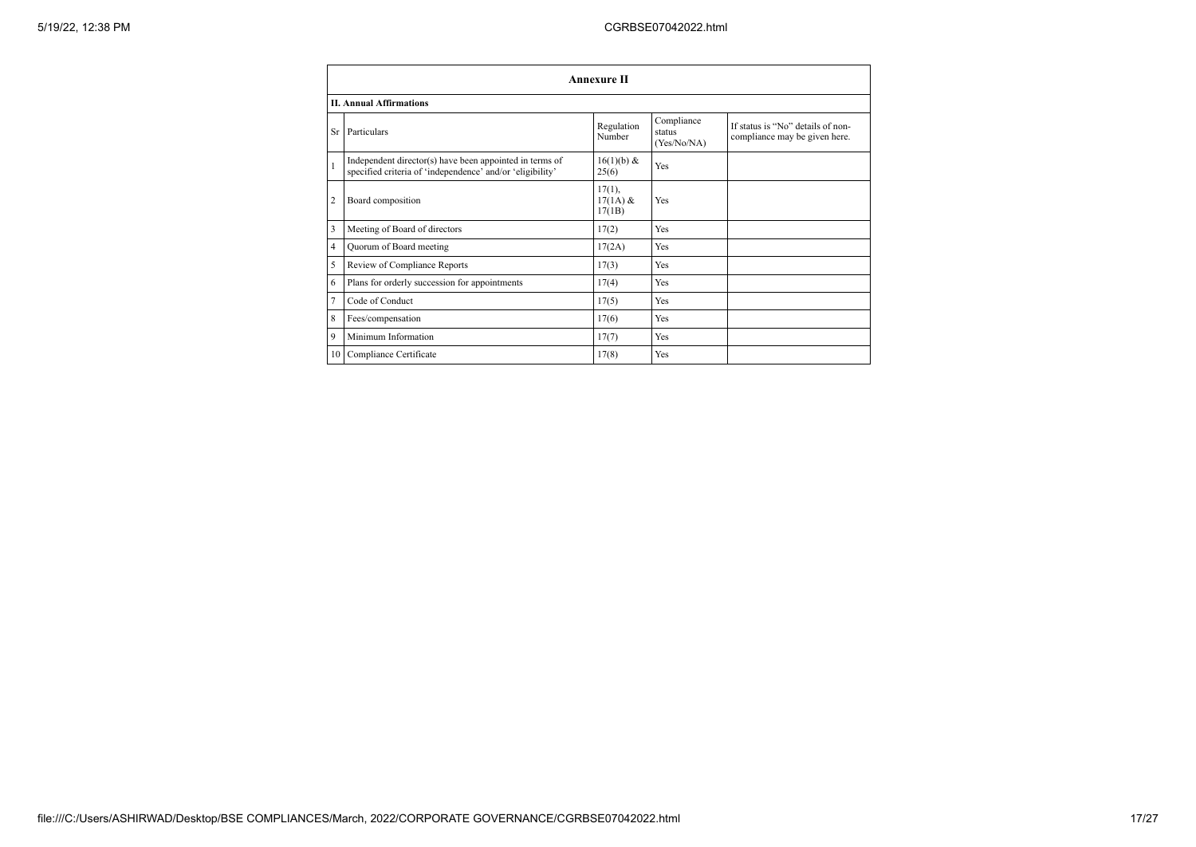|                | <b>Annexure II</b>                                                                                                   |                                   |                                     |                                                                    |  |
|----------------|----------------------------------------------------------------------------------------------------------------------|-----------------------------------|-------------------------------------|--------------------------------------------------------------------|--|
|                | <b>II. Annual Affirmations</b>                                                                                       |                                   |                                     |                                                                    |  |
| Sr             | Particulars                                                                                                          | Regulation<br>Number              | Compliance<br>status<br>(Yes/No/NA) | If status is "No" details of non-<br>compliance may be given here. |  |
| $\mathbf{1}$   | Independent director(s) have been appointed in terms of<br>specified criteria of 'independence' and/or 'eligibility' | 16(1)(b) &<br>25(6)               | Yes                                 |                                                                    |  |
| $\overline{2}$ | Board composition                                                                                                    | $17(1)$ ,<br>$17(1A)$ &<br>17(1B) | Yes                                 |                                                                    |  |
| 3              | Meeting of Board of directors                                                                                        | 17(2)                             | Yes                                 |                                                                    |  |
| $\overline{4}$ | Quorum of Board meeting                                                                                              | 17(2A)                            | Yes                                 |                                                                    |  |
| 5              | Review of Compliance Reports                                                                                         | 17(3)                             | Yes                                 |                                                                    |  |
| 6              | Plans for orderly succession for appointments                                                                        | 17(4)                             | Yes                                 |                                                                    |  |
| $\overline{7}$ | Code of Conduct                                                                                                      | 17(5)                             | Yes                                 |                                                                    |  |
| 8              | Fees/compensation                                                                                                    | 17(6)                             | Yes                                 |                                                                    |  |
| 9              | Minimum Information                                                                                                  | 17(7)                             | Yes                                 |                                                                    |  |
|                | 10 Compliance Certificate                                                                                            | 17(8)                             | Yes                                 |                                                                    |  |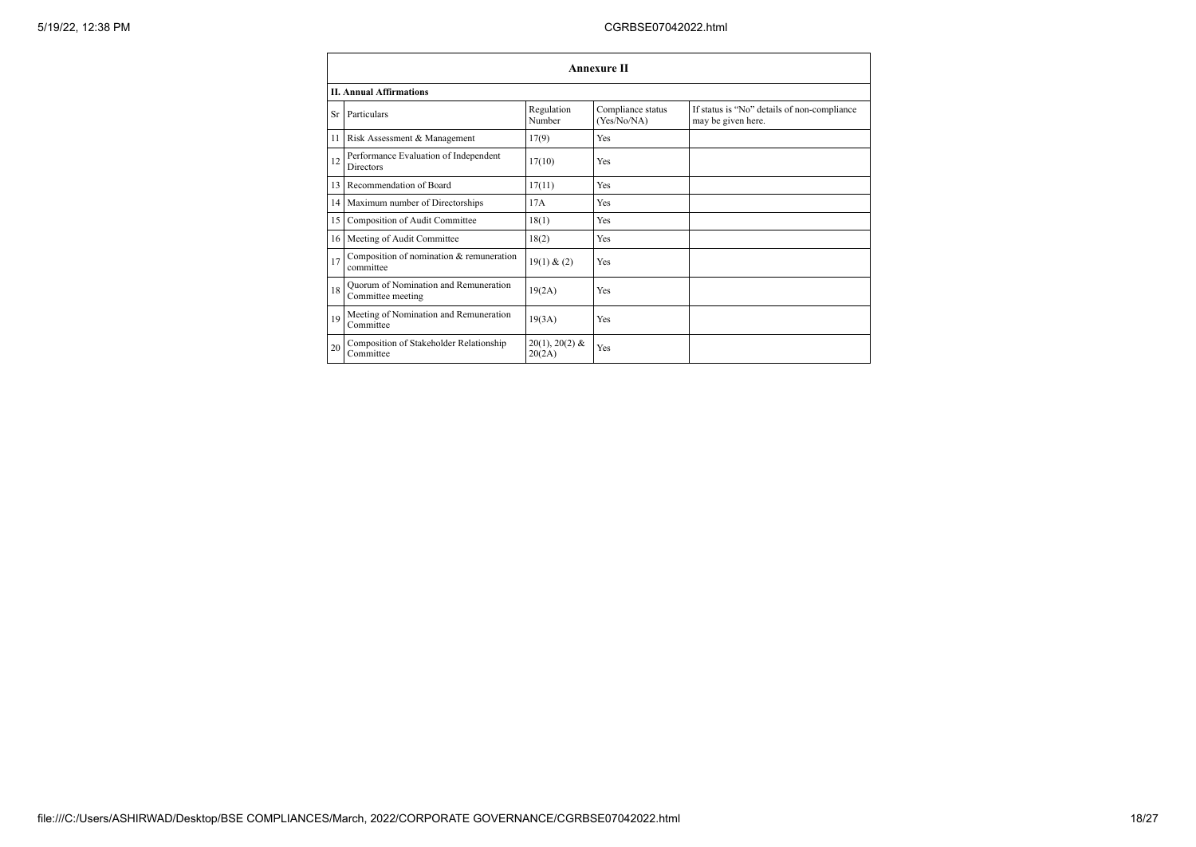|    | <b>Annexure II</b>                                         |                            |                                  |                                                                   |  |  |
|----|------------------------------------------------------------|----------------------------|----------------------------------|-------------------------------------------------------------------|--|--|
|    | <b>II. Annual Affirmations</b>                             |                            |                                  |                                                                   |  |  |
| Sr | Particulars                                                | Regulation<br>Number       | Compliance status<br>(Yes/No/NA) | If status is "No" details of non-compliance<br>may be given here. |  |  |
| 11 | Risk Assessment & Management                               | 17(9)                      | Yes                              |                                                                   |  |  |
| 12 | Performance Evaluation of Independent<br><b>Directors</b>  | 17(10)                     | Yes                              |                                                                   |  |  |
| 13 | Recommendation of Board                                    | 17(11)                     | Yes                              |                                                                   |  |  |
|    | 14 Maximum number of Directorships                         | 17A                        | Yes                              |                                                                   |  |  |
| 15 | Composition of Audit Committee                             | 18(1)                      | Yes                              |                                                                   |  |  |
|    | 16 Meeting of Audit Committee                              | 18(2)                      | Yes                              |                                                                   |  |  |
| 17 | Composition of nomination & remuneration<br>committee      | 19(1) & (2)                | Yes                              |                                                                   |  |  |
| 18 | Quorum of Nomination and Remuneration<br>Committee meeting | 19(2A)                     | Yes                              |                                                                   |  |  |
| 19 | Meeting of Nomination and Remuneration<br>Committee        | 19(3A)                     | Yes                              |                                                                   |  |  |
| 20 | Composition of Stakeholder Relationship<br>Committee       | $20(1), 20(2)$ &<br>20(2A) | Yes                              |                                                                   |  |  |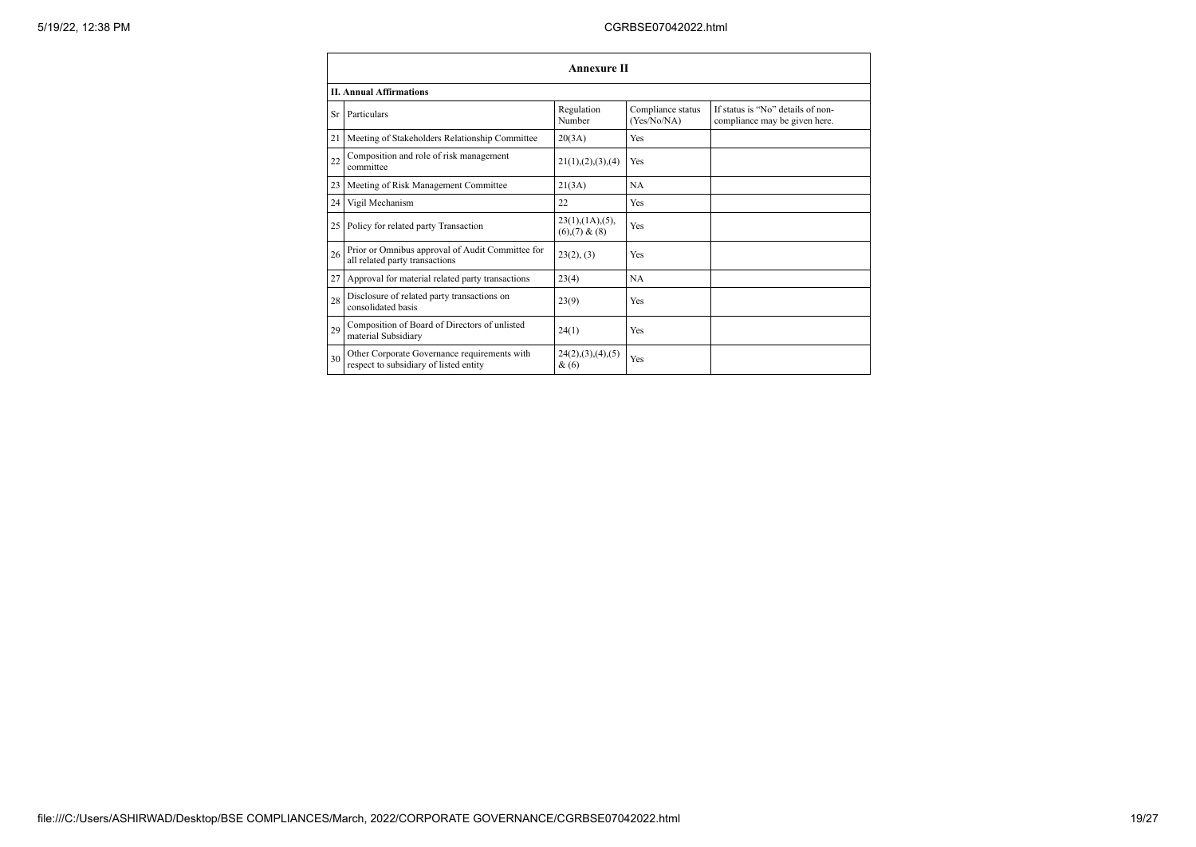|    | <b>Annexure II</b>                                                                     |                                                     |                                  |                                                                    |  |
|----|----------------------------------------------------------------------------------------|-----------------------------------------------------|----------------------------------|--------------------------------------------------------------------|--|
|    | <b>II. Annual Affirmations</b>                                                         |                                                     |                                  |                                                                    |  |
| Sr | Particulars                                                                            | Regulation<br>Number                                | Compliance status<br>(Yes/No/NA) | If status is "No" details of non-<br>compliance may be given here. |  |
| 21 | Meeting of Stakeholders Relationship Committee                                         | 20(3A)                                              | Yes                              |                                                                    |  |
| 22 | Composition and role of risk management<br>committee                                   | 21(1), (2), (3), (4)                                | Yes                              |                                                                    |  |
| 23 | Meeting of Risk Management Committee                                                   | 21(3A)                                              | <b>NA</b>                        |                                                                    |  |
| 24 | Vigil Mechanism                                                                        | 22                                                  | Yes                              |                                                                    |  |
|    | 25 Policy for related party Transaction                                                | $23(1)$ , $(1A)$ , $(5)$ ,<br>$(6)$ , $(7)$ & $(8)$ | Yes                              |                                                                    |  |
| 26 | Prior or Omnibus approval of Audit Committee for<br>all related party transactions     | 23(2), (3)                                          | Yes                              |                                                                    |  |
| 27 | Approval for material related party transactions                                       | 23(4)                                               | <b>NA</b>                        |                                                                    |  |
| 28 | Disclosure of related party transactions on<br>consolidated basis                      | 23(9)                                               | Yes                              |                                                                    |  |
| 29 | Composition of Board of Directors of unlisted<br>material Subsidiary                   | 24(1)                                               | Yes                              |                                                                    |  |
| 30 | Other Corporate Governance requirements with<br>respect to subsidiary of listed entity | 24(2), (3), (4), (5)<br>$\&(6)$                     | Yes                              |                                                                    |  |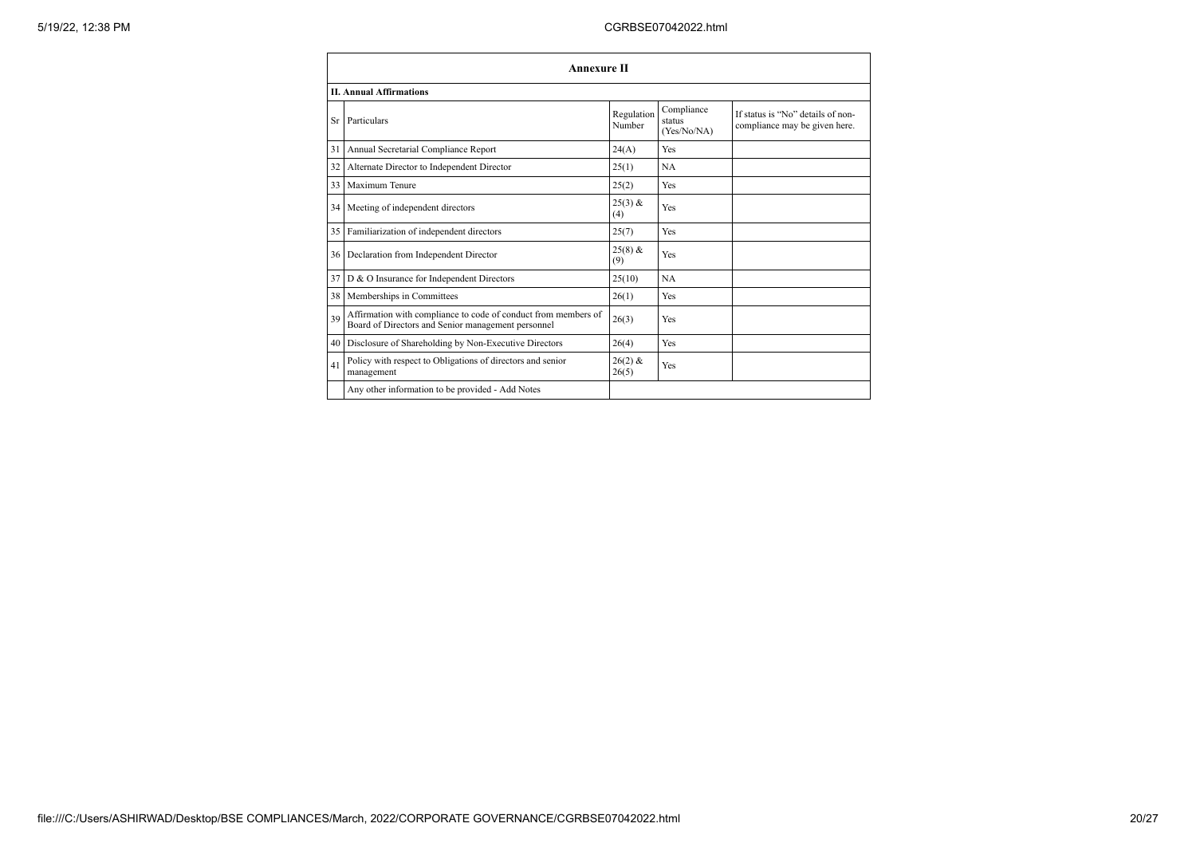|    | Annexure II                                                                                                          |                      |                                     |                                                                    |  |
|----|----------------------------------------------------------------------------------------------------------------------|----------------------|-------------------------------------|--------------------------------------------------------------------|--|
|    | <b>II. Annual Affirmations</b>                                                                                       |                      |                                     |                                                                    |  |
| Sr | Particulars                                                                                                          | Regulation<br>Number | Compliance<br>status<br>(Yes/No/NA) | If status is "No" details of non-<br>compliance may be given here. |  |
| 31 | Annual Secretarial Compliance Report                                                                                 | 24(A)                | Yes                                 |                                                                    |  |
| 32 | Alternate Director to Independent Director                                                                           | 25(1)                | NA                                  |                                                                    |  |
| 33 | Maximum Tenure                                                                                                       | 25(2)                | Yes                                 |                                                                    |  |
|    | 34 Meeting of independent directors                                                                                  | $25(3)$ &<br>(4)     | Yes                                 |                                                                    |  |
|    | 35 Familiarization of independent directors                                                                          | 25(7)                | Yes                                 |                                                                    |  |
|    | 36   Declaration from Independent Director                                                                           | $25(8)$ &<br>(9)     | Yes                                 |                                                                    |  |
|    | 37 D & O Insurance for Independent Directors                                                                         | 25(10)               | <b>NA</b>                           |                                                                    |  |
|    | 38 Memberships in Committees                                                                                         | 26(1)                | Yes                                 |                                                                    |  |
| 39 | Affirmation with compliance to code of conduct from members of<br>Board of Directors and Senior management personnel | 26(3)                | Yes                                 |                                                                    |  |
|    | 40 Disclosure of Shareholding by Non-Executive Directors                                                             | 26(4)                | Yes                                 |                                                                    |  |
| 41 | Policy with respect to Obligations of directors and senior<br>management                                             | $26(2)$ &<br>26(5)   | Yes                                 |                                                                    |  |
|    | Any other information to be provided - Add Notes                                                                     |                      |                                     |                                                                    |  |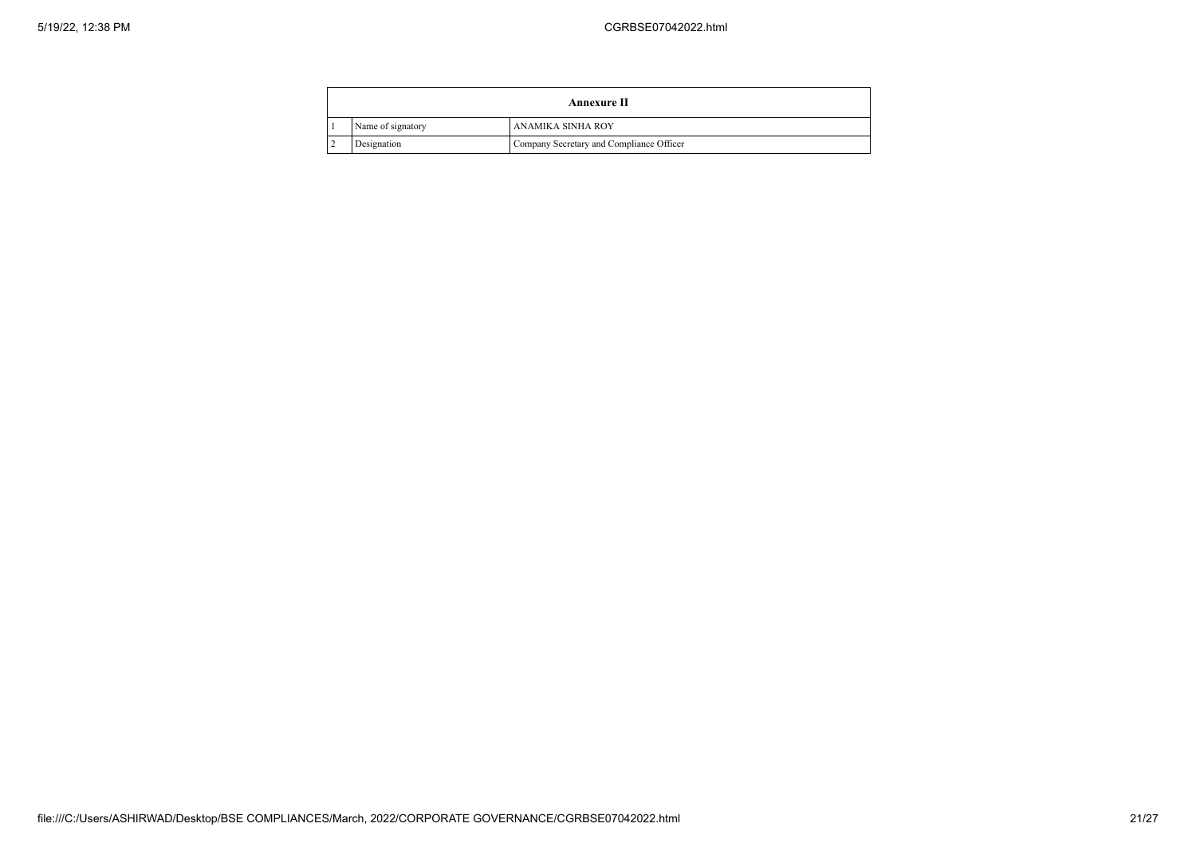|                   | <b>Annexure II</b>                       |
|-------------------|------------------------------------------|
| Name of signatory | ANAMIKA SINHA ROY                        |
| Designation       | Company Secretary and Compliance Officer |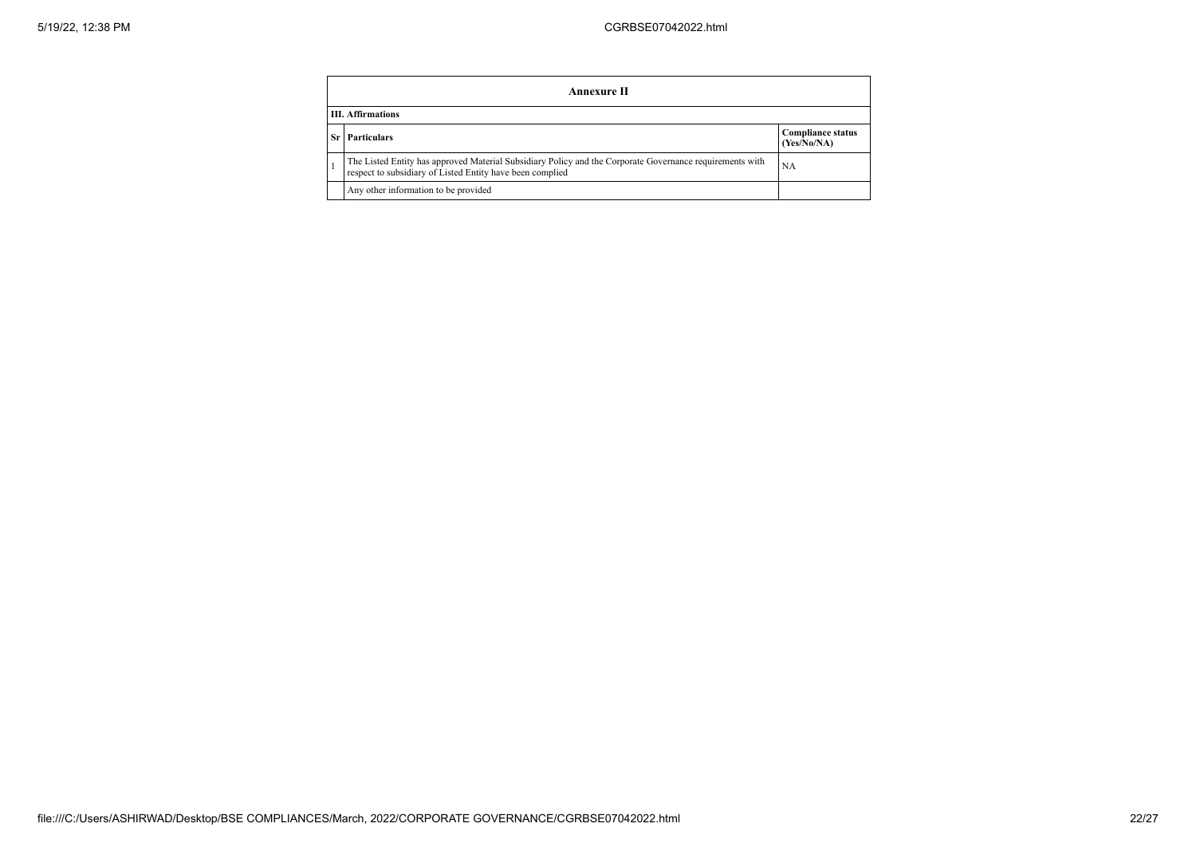|     | Annexure II                                                                                                                                                           |                                         |  |  |  |
|-----|-----------------------------------------------------------------------------------------------------------------------------------------------------------------------|-----------------------------------------|--|--|--|
|     | <b>III.</b> Affirmations                                                                                                                                              |                                         |  |  |  |
| Sr. | <b>Particulars</b>                                                                                                                                                    | <b>Compliance status</b><br>(Yes/No/NA) |  |  |  |
|     | The Listed Entity has approved Material Subsidiary Policy and the Corporate Governance requirements with<br>respect to subsidiary of Listed Entity have been complied | <b>NA</b>                               |  |  |  |
|     | Any other information to be provided                                                                                                                                  |                                         |  |  |  |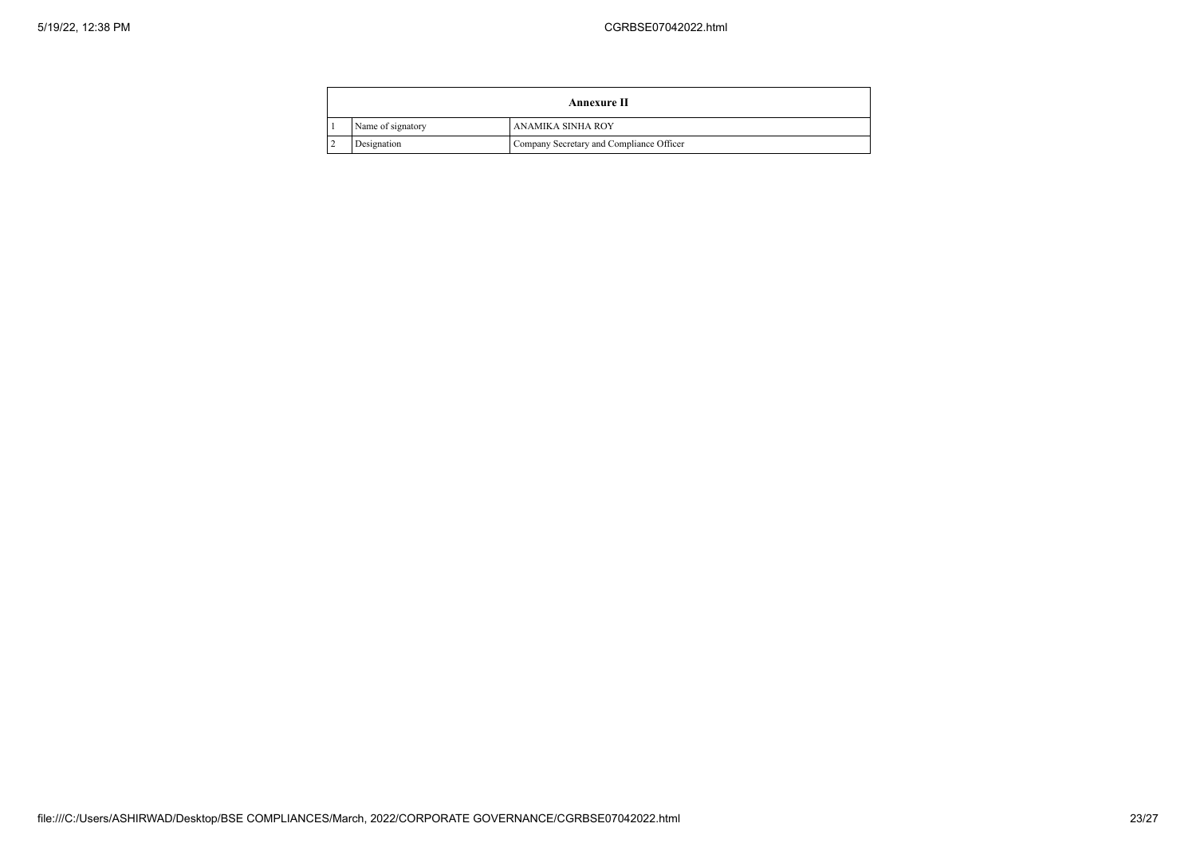| Annexure II |                   |                                          |
|-------------|-------------------|------------------------------------------|
|             | Name of signatory | ANAMIKA SINHA ROY                        |
|             | Designation       | Company Secretary and Compliance Officer |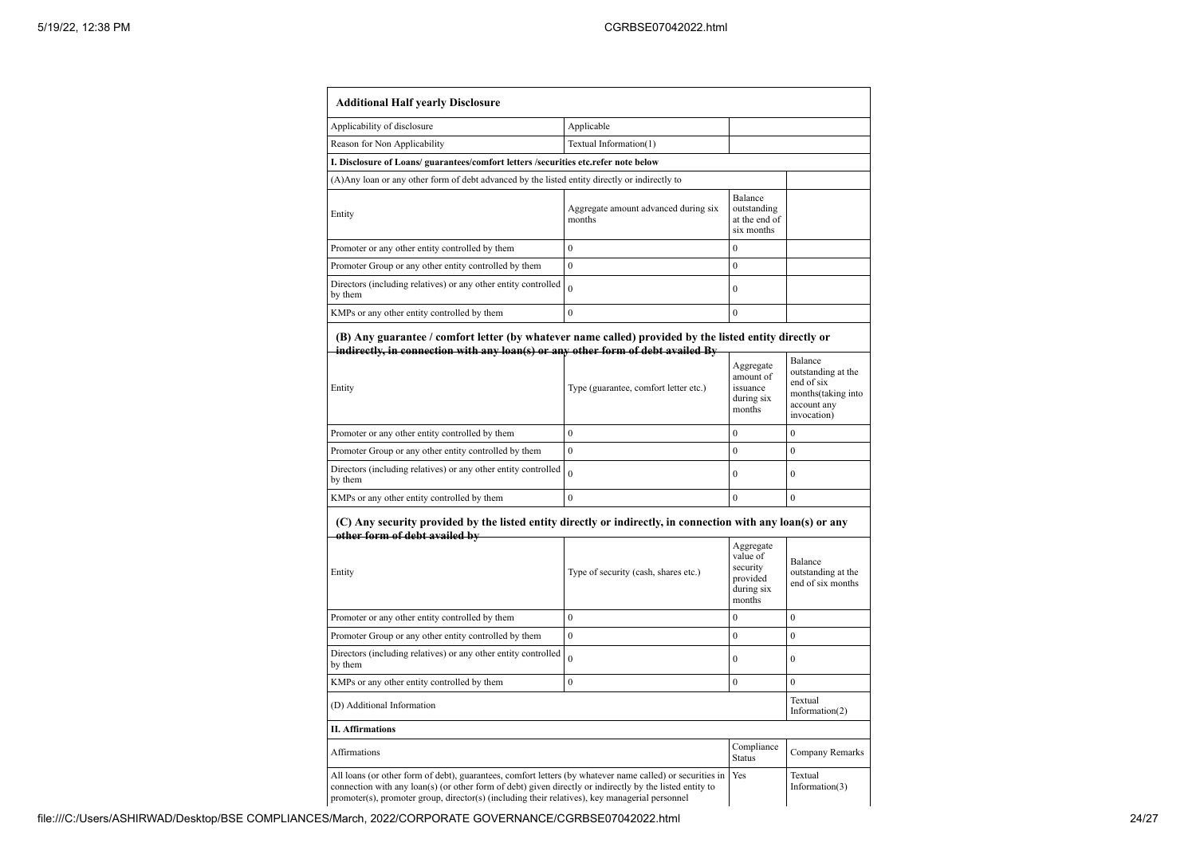| <b>Additional Half yearly Disclosure</b>                                                                                                                                                                                                                                                                                                                       |                                                                       |                                                            |                                                                                                 |  |
|----------------------------------------------------------------------------------------------------------------------------------------------------------------------------------------------------------------------------------------------------------------------------------------------------------------------------------------------------------------|-----------------------------------------------------------------------|------------------------------------------------------------|-------------------------------------------------------------------------------------------------|--|
| Applicability of disclosure                                                                                                                                                                                                                                                                                                                                    | Applicable                                                            |                                                            |                                                                                                 |  |
| Reason for Non Applicability                                                                                                                                                                                                                                                                                                                                   | Textual Information(1)                                                |                                                            |                                                                                                 |  |
| I. Disclosure of Loans/ guarantees/comfort letters /securities etc.refer note below                                                                                                                                                                                                                                                                            |                                                                       |                                                            |                                                                                                 |  |
| (A) Any loan or any other form of debt advanced by the listed entity directly or indirectly to                                                                                                                                                                                                                                                                 |                                                                       |                                                            |                                                                                                 |  |
| Entity                                                                                                                                                                                                                                                                                                                                                         | Aggregate amount advanced during six<br>months                        | Balance<br>outstanding<br>at the end of<br>six months      |                                                                                                 |  |
| Promoter or any other entity controlled by them                                                                                                                                                                                                                                                                                                                | $\overline{0}$                                                        | $\mathbf{0}$                                               |                                                                                                 |  |
| Promoter Group or any other entity controlled by them                                                                                                                                                                                                                                                                                                          | $\overline{0}$                                                        | $\overline{0}$                                             |                                                                                                 |  |
| Directors (including relatives) or any other entity controlled<br>by them                                                                                                                                                                                                                                                                                      | $\theta$                                                              | $\mathbf{0}$                                               |                                                                                                 |  |
| KMPs or any other entity controlled by them                                                                                                                                                                                                                                                                                                                    | $\theta$                                                              | $\theta$                                                   |                                                                                                 |  |
| indirectly, in connection with any loan(s) or any other form of debt availed By<br>Entity                                                                                                                                                                                                                                                                      | Type (guarantee, comfort letter etc.)                                 | Aggregate<br>amount of<br>issuance<br>during six<br>months | Balance<br>outstanding at the<br>end of six<br>months(taking into<br>account any<br>invocation) |  |
| Promoter or any other entity controlled by them                                                                                                                                                                                                                                                                                                                | $\overline{0}$                                                        | $\theta$                                                   | $\mathbf{0}$                                                                                    |  |
| Promoter Group or any other entity controlled by them                                                                                                                                                                                                                                                                                                          | $\mathbf{0}$                                                          | $\overline{0}$                                             | $\mathbf{0}$                                                                                    |  |
| Directors (including relatives) or any other entity controlled<br>by them                                                                                                                                                                                                                                                                                      | $\Omega$                                                              | $\Omega$                                                   | $\theta$                                                                                        |  |
| KMPs or any other entity controlled by them                                                                                                                                                                                                                                                                                                                    | $\theta$                                                              | $\theta$                                                   | $\theta$                                                                                        |  |
| (C) Any security provided by the listed entity directly or indirectly, in connection with any loan(s) or any<br>other form of debt availed by<br>Entity                                                                                                                                                                                                        | Aggregate<br>value of<br>security<br>provided<br>during six<br>months | Balance<br>outstanding at the<br>end of six months         |                                                                                                 |  |
| Promoter or any other entity controlled by them                                                                                                                                                                                                                                                                                                                | $\mathbf{0}$                                                          | $\mathbf{0}$                                               | $\mathbf{0}$                                                                                    |  |
| Promoter Group or any other entity controlled by them                                                                                                                                                                                                                                                                                                          | $\theta$                                                              | $\mathbf{0}$                                               | $\mathbf{0}$                                                                                    |  |
| Directors (including relatives) or any other entity controlled<br>by them                                                                                                                                                                                                                                                                                      | $\Omega$                                                              | $\overline{0}$                                             | $\mathbf{0}$                                                                                    |  |
| KMPs or any other entity controlled by them                                                                                                                                                                                                                                                                                                                    | $\overline{0}$                                                        | $\overline{0}$                                             | $\mathbf{0}$                                                                                    |  |
| Textual<br>(D) Additional Information<br>Information(2)                                                                                                                                                                                                                                                                                                        |                                                                       |                                                            |                                                                                                 |  |
| <b>II. Affirmations</b>                                                                                                                                                                                                                                                                                                                                        |                                                                       |                                                            |                                                                                                 |  |
| <b>Affirmations</b>                                                                                                                                                                                                                                                                                                                                            |                                                                       | Compliance<br><b>Status</b>                                | Company Remarks                                                                                 |  |
| All loans (or other form of debt), guarantees, comfort letters (by whatever name called) or securities in<br>Yes<br>Textual<br>connection with any loan(s) (or other form of debt) given directly or indirectly by the listed entity to<br>Information $(3)$<br>promoter(s), promoter group, director(s) (including their relatives), key managerial personnel |                                                                       |                                                            |                                                                                                 |  |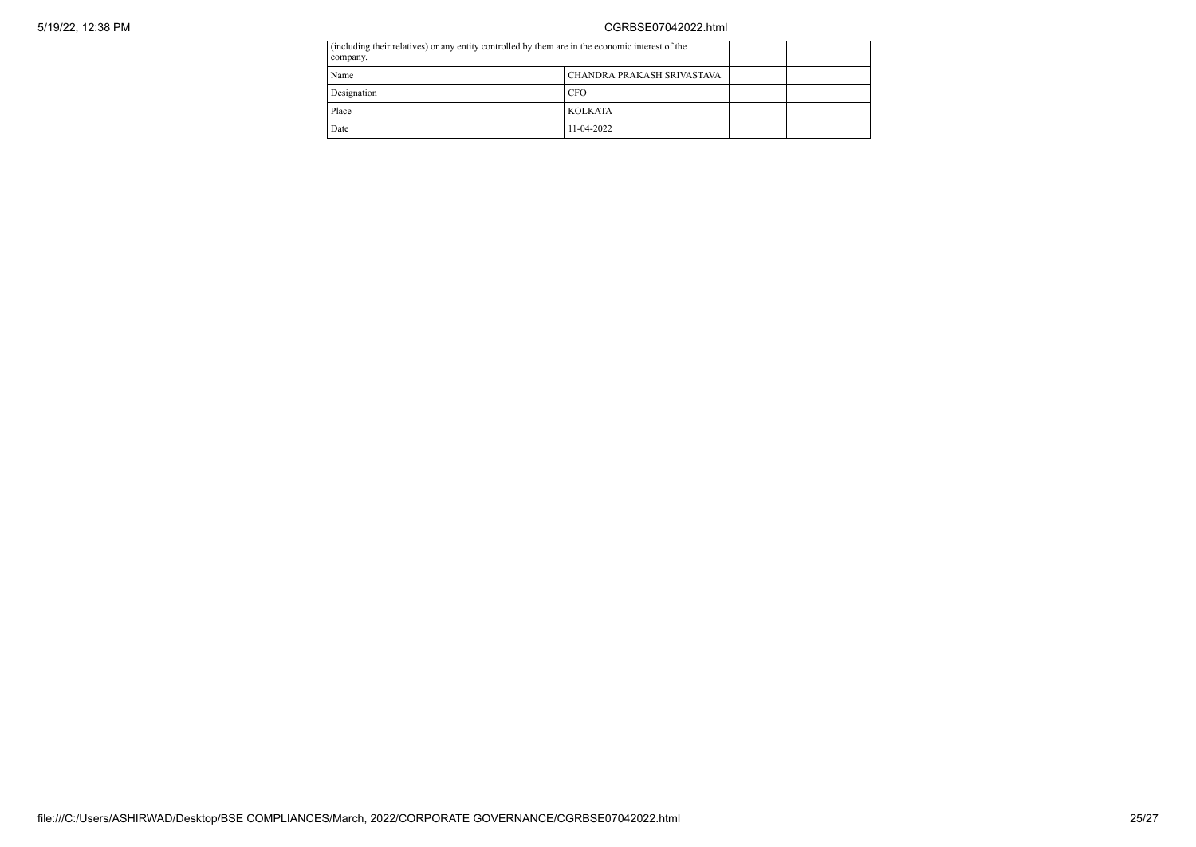## 5/19/22, 12:38 PM CGRBSE07042022.html

| (including their relatives) or any entity controlled by them are in the economic interest of the<br>company. |                            |  |
|--------------------------------------------------------------------------------------------------------------|----------------------------|--|
| Name                                                                                                         | CHANDRA PRAKASH SRIVASTAVA |  |
| Designation                                                                                                  | <b>CFO</b>                 |  |
| Place                                                                                                        | <b>KOLKATA</b>             |  |
| Date                                                                                                         | 11-04-2022                 |  |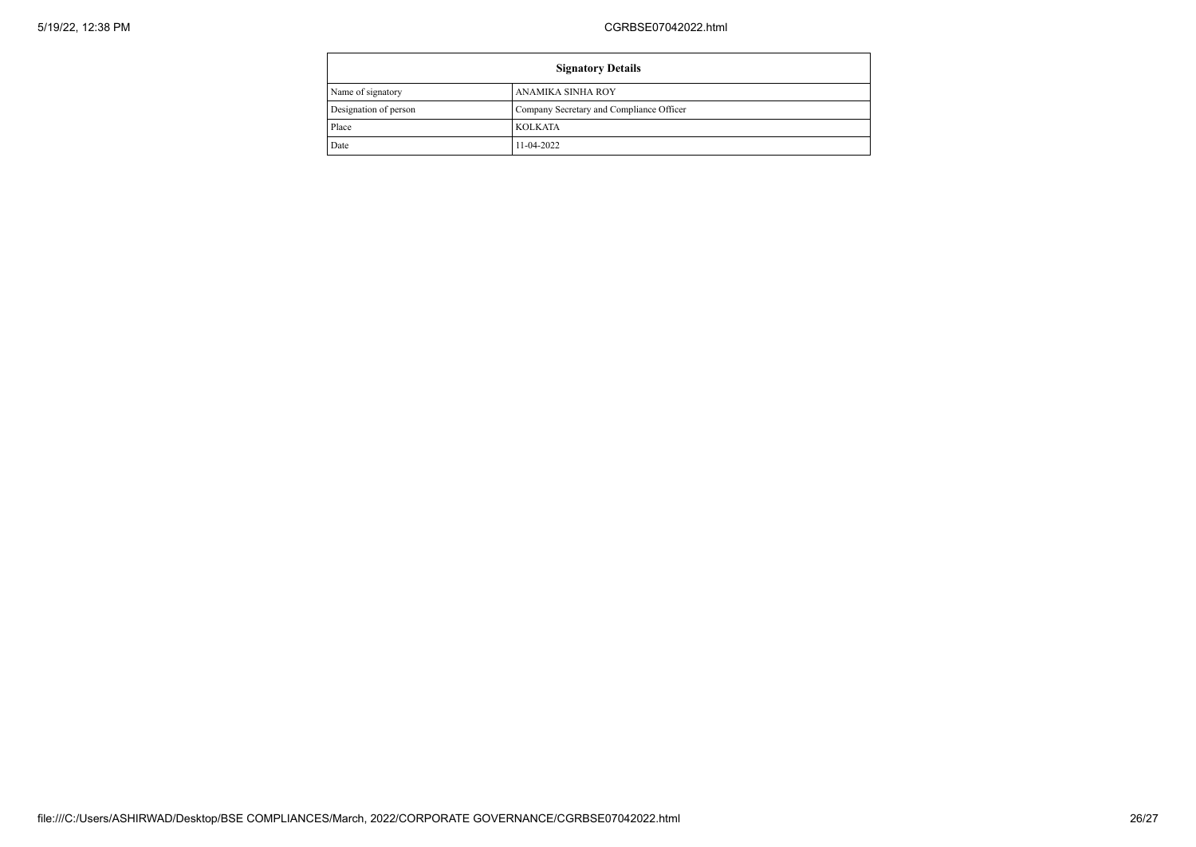| <b>Signatory Details</b> |                                          |  |
|--------------------------|------------------------------------------|--|
| Name of signatory        | ANAMIKA SINHA ROY                        |  |
| Designation of person    | Company Secretary and Compliance Officer |  |
| Place                    | <b>KOLKATA</b>                           |  |
| Date                     | 11-04-2022                               |  |